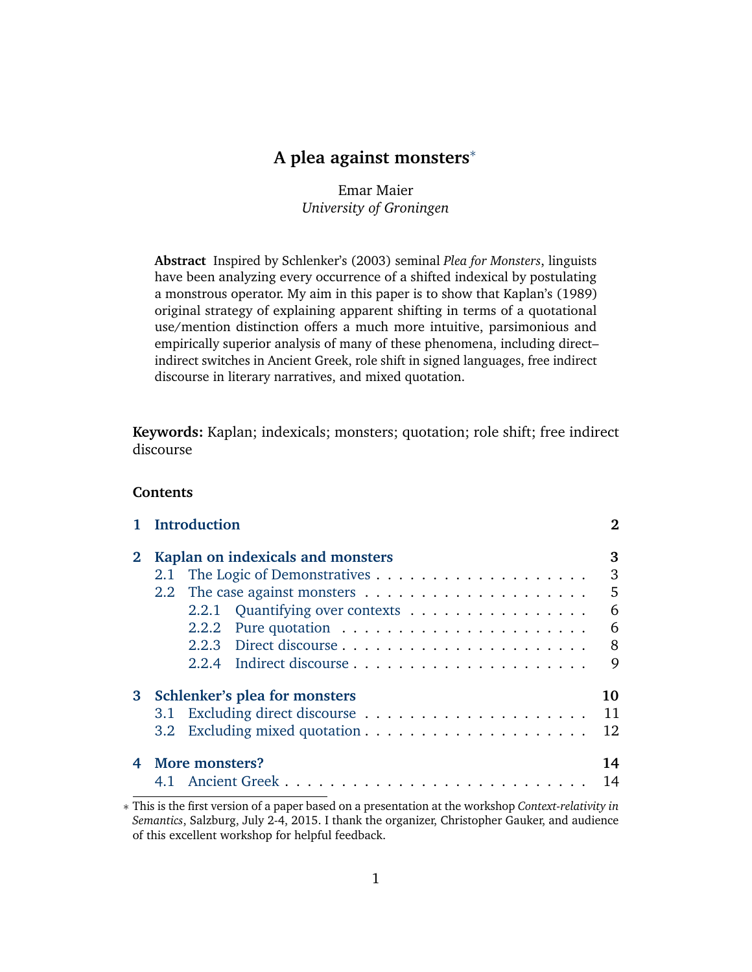# **A plea against monsters**<sup>∗</sup>

Emar Maier *University of Groningen*

**Abstract** Inspired by Schlenker's (2003) seminal *Plea for Monsters*, linguists have been analyzing every occurrence of a shifted indexical by postulating a monstrous operator. My aim in this paper is to show that Kaplan's (1989) original strategy of explaining apparent shifting in terms of a quotational use/mention distinction offers a much more intuitive, parsimonious and empirically superior analysis of many of these phenomena, including direct– indirect switches in Ancient Greek, role shift in signed languages, free indirect discourse in literary narratives, and mixed quotation.

**Keywords:** Kaplan; indexicals; monsters; quotation; role shift; free indirect discourse

#### **Contents**

|   | Introduction                       | 2  |
|---|------------------------------------|----|
|   | Kaplan on indexicals and monsters  | 3  |
|   | 2.1                                | 3  |
|   |                                    | 5  |
|   | Quantifying over contexts<br>2.2.1 | 6  |
|   | 2.2.2                              | 6  |
|   |                                    | 8  |
|   |                                    | 9  |
| 3 | Schlenker's plea for monsters      | 10 |
|   | 3.1                                | 11 |
|   |                                    | 12 |
|   | More monsters?                     | 14 |
|   |                                    | 14 |

<sup>∗</sup> This is the first version of a paper based on a presentation at the workshop *Context-relativity in Semantics*, Salzburg, July 2-4, 2015. I thank the organizer, Christopher Gauker, and audience of this excellent workshop for helpful feedback.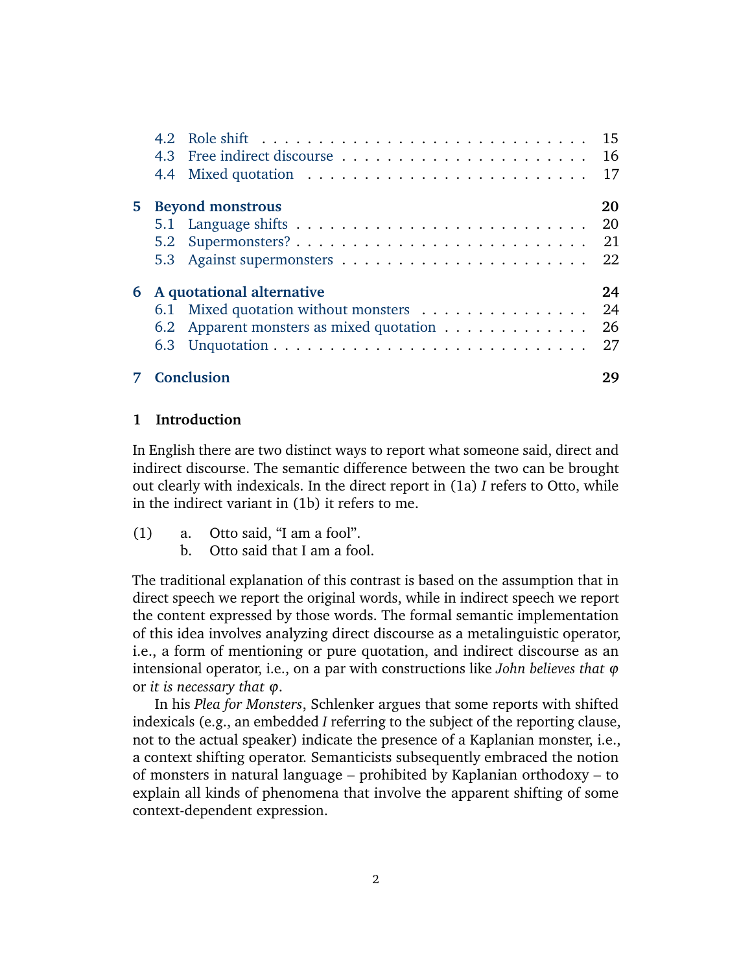|    |     | 4.2 Role shift $\ldots \ldots \ldots \ldots \ldots \ldots \ldots \ldots \ldots$ | 15 |
|----|-----|---------------------------------------------------------------------------------|----|
|    |     |                                                                                 | 16 |
|    |     |                                                                                 | 17 |
| 5. |     | <b>Beyond monstrous</b>                                                         | 20 |
|    |     |                                                                                 | 20 |
|    | 5.2 |                                                                                 | 21 |
|    |     |                                                                                 | 22 |
| 6  |     | A quotational alternative                                                       | 24 |
|    |     |                                                                                 | 24 |
|    |     | 6.2 Apparent monsters as mixed quotation                                        | 26 |
|    |     |                                                                                 | 27 |
|    |     | <b>Conclusion</b>                                                               | 29 |

### <span id="page-1-0"></span>**1 Introduction**

In English there are two distinct ways to report what someone said, direct and indirect discourse. The semantic difference between the two can be brought out clearly with indexicals. In the direct report in (1a) *I* refers to Otto, while in the indirect variant in (1b) it refers to me.

- (1) a. Otto said, "I am a fool".
	- b. Otto said that I am a fool.

The traditional explanation of this contrast is based on the assumption that in direct speech we report the original words, while in indirect speech we report the content expressed by those words. The formal semantic implementation of this idea involves analyzing direct discourse as a metalinguistic operator, i.e., a form of mentioning or pure quotation, and indirect discourse as an intensional operator, i.e., on a par with constructions like *John believes that* ϕ or *it is necessary that* ϕ.

In his *Plea for Monsters*, Schlenker argues that some reports with shifted indexicals (e.g., an embedded *I* referring to the subject of the reporting clause, not to the actual speaker) indicate the presence of a Kaplanian monster, i.e., a context shifting operator. Semanticists subsequently embraced the notion of monsters in natural language – prohibited by Kaplanian orthodoxy – to explain all kinds of phenomena that involve the apparent shifting of some context-dependent expression.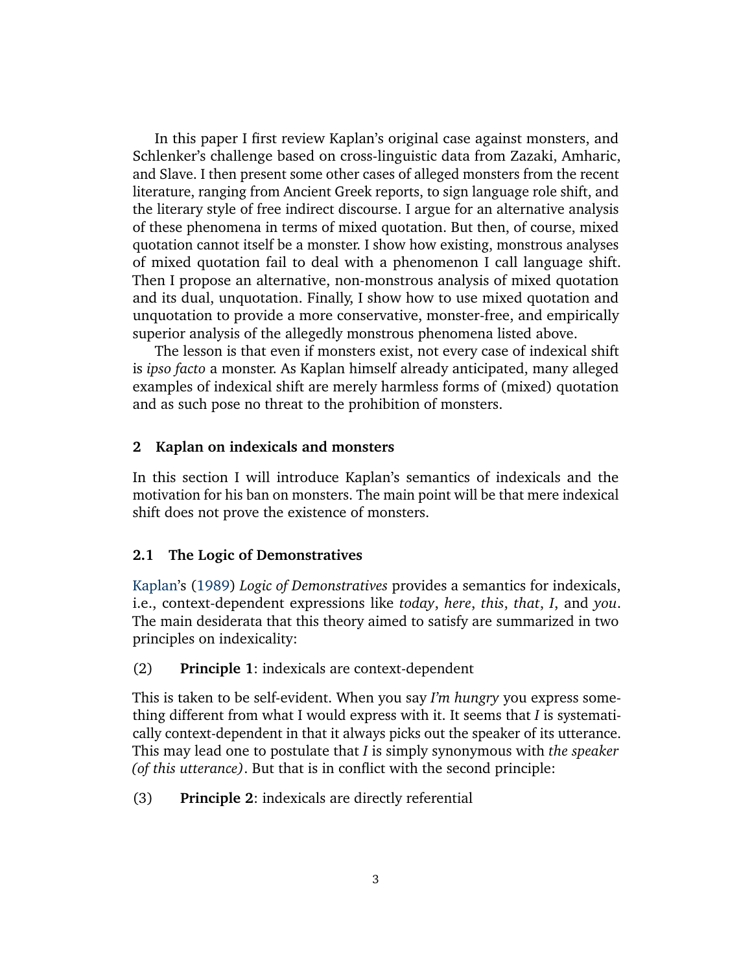In this paper I first review Kaplan's original case against monsters, and Schlenker's challenge based on cross-linguistic data from Zazaki, Amharic, and Slave. I then present some other cases of alleged monsters from the recent literature, ranging from Ancient Greek reports, to sign language role shift, and the literary style of free indirect discourse. I argue for an alternative analysis of these phenomena in terms of mixed quotation. But then, of course, mixed quotation cannot itself be a monster. I show how existing, monstrous analyses of mixed quotation fail to deal with a phenomenon I call language shift. Then I propose an alternative, non-monstrous analysis of mixed quotation and its dual, unquotation. Finally, I show how to use mixed quotation and unquotation to provide a more conservative, monster-free, and empirically superior analysis of the allegedly monstrous phenomena listed above.

The lesson is that even if monsters exist, not every case of indexical shift is *ipso facto* a monster. As Kaplan himself already anticipated, many alleged examples of indexical shift are merely harmless forms of (mixed) quotation and as such pose no threat to the prohibition of monsters.

#### <span id="page-2-0"></span>**2 Kaplan on indexicals and monsters**

In this section I will introduce Kaplan's semantics of indexicals and the motivation for his ban on monsters. The main point will be that mere indexical shift does not prove the existence of monsters.

#### <span id="page-2-1"></span>**2.1 The Logic of Demonstratives**

[Kaplan'](#page-30-0)s [\(1989\)](#page-30-0) *Logic of Demonstratives* provides a semantics for indexicals, i.e., context-dependent expressions like *today*, *here*, *this*, *that*, *I*, and *you*. The main desiderata that this theory aimed to satisfy are summarized in two principles on indexicality:

(2) **Principle 1**: indexicals are context-dependent

This is taken to be self-evident. When you say *I'm hungry* you express something different from what I would express with it. It seems that *I* is systematically context-dependent in that it always picks out the speaker of its utterance. This may lead one to postulate that *I* is simply synonymous with *the speaker (of this utterance)*. But that is in conflict with the second principle:

(3) **Principle 2**: indexicals are directly referential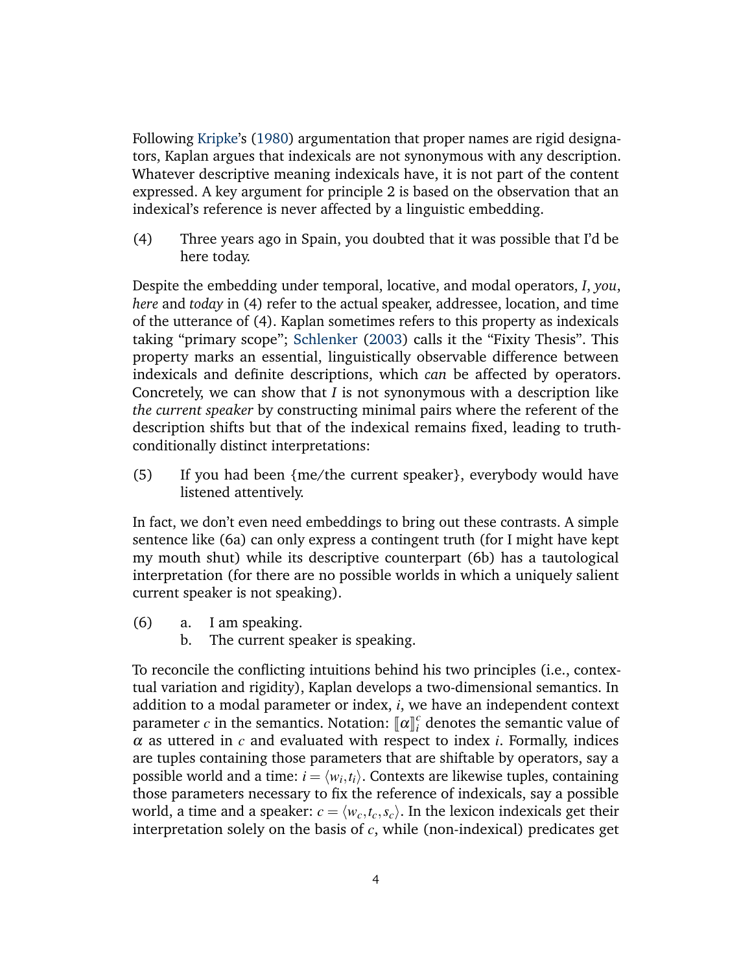Following [Kripke'](#page-30-1)s [\(1980\)](#page-30-1) argumentation that proper names are rigid designators, Kaplan argues that indexicals are not synonymous with any description. Whatever descriptive meaning indexicals have, it is not part of the content expressed. A key argument for principle 2 is based on the observation that an indexical's reference is never affected by a linguistic embedding.

(4) Three years ago in Spain, you doubted that it was possible that I'd be here today.

Despite the embedding under temporal, locative, and modal operators, *I*, *you*, *here* and *today* in (4) refer to the actual speaker, addressee, location, and time of the utterance of (4). Kaplan sometimes refers to this property as indexicals taking "primary scope"; [Schlenker](#page-31-0) [\(2003\)](#page-31-0) calls it the "Fixity Thesis". This property marks an essential, linguistically observable difference between indexicals and definite descriptions, which *can* be affected by operators. Concretely, we can show that *I* is not synonymous with a description like *the current speaker* by constructing minimal pairs where the referent of the description shifts but that of the indexical remains fixed, leading to truthconditionally distinct interpretations:

(5) If you had been {me/the current speaker}, everybody would have listened attentively.

In fact, we don't even need embeddings to bring out these contrasts. A simple sentence like (6a) can only express a contingent truth (for I might have kept my mouth shut) while its descriptive counterpart (6b) has a tautological interpretation (for there are no possible worlds in which a uniquely salient current speaker is not speaking).

- <span id="page-3-1"></span><span id="page-3-0"></span>(6) a. I am speaking.
	- b. The current speaker is speaking.

To reconcile the conflicting intuitions behind his two principles (i.e., contextual variation and rigidity), Kaplan develops a two-dimensional semantics. In addition to a modal parameter or index, *i*, we have an independent context parameter *c* in the semantics. Notation:  $[\![\alpha]\!]_i^c$  $\frac{c}{i}$  denotes the semantic value of α as uttered in *c* and evaluated with respect to index *i*. Formally, indices are tuples containing those parameters that are shiftable by operators, say a possible world and a time:  $i = \langle w_i, t_i \rangle$ . Contexts are likewise tuples, containing those parameters necessary to fix the reference of indexicals, say a possible world, a time and a speaker:  $c = \langle w_c, t_c, s_c \rangle$ . In the lexicon indexicals get their interpretation solely on the basis of *c*, while (non-indexical) predicates get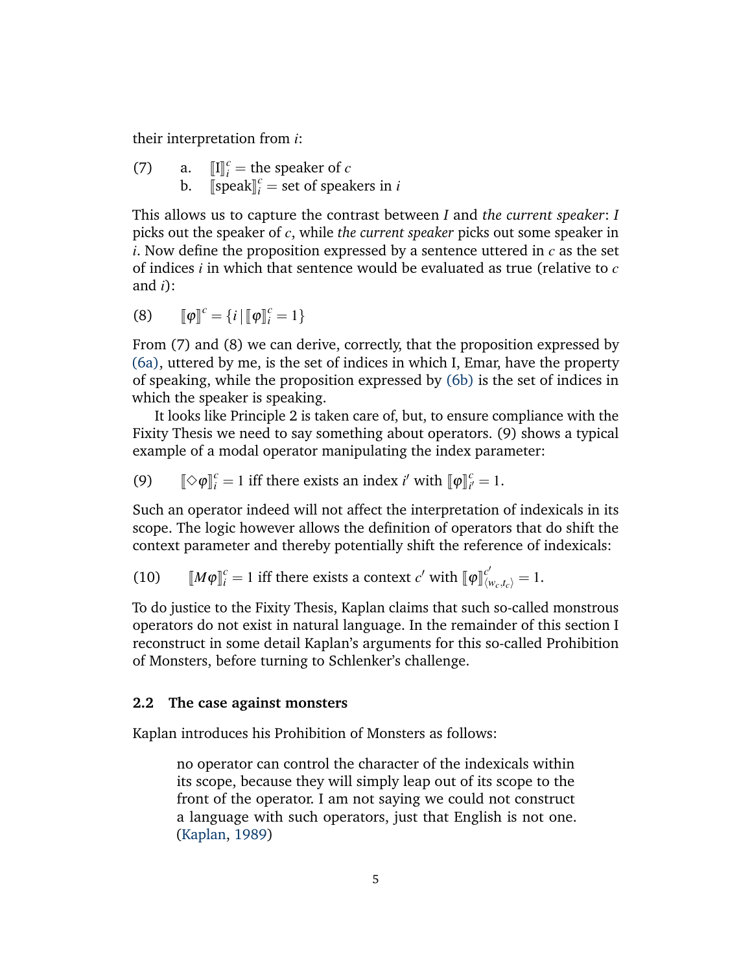their interpretation from *i*:

 $(7)$  a.<br>b.  $c_i$ <sup>*c*</sup> = the speaker of *c* b.  $\[\mathbf{\bar{s}}\]$  peak  $\]_i^c = \mathbf{\bar{s}}\]$  et of speakers in *i* 

This allows us to capture the contrast between *I* and *the current speaker*: *I* picks out the speaker of *c*, while *the current speaker* picks out some speaker in *i*. Now define the proposition expressed by a sentence uttered in *c* as the set of indices *i* in which that sentence would be evaluated as true (relative to *c* and *i*):

$$
\text{(8)} \qquad \llbracket \boldsymbol{\varphi} \rrbracket^c = \{ i \, | \, \llbracket \boldsymbol{\varphi} \rrbracket_i^c = 1 \}
$$

From (7) and (8) we can derive, correctly, that the proposition expressed by [\(6a\),](#page-3-0) uttered by me, is the set of indices in which I, Emar, have the property of speaking, while the proposition expressed by [\(6b\)](#page-3-1) is the set of indices in which the speaker is speaking.

It looks like Principle 2 is taken care of, but, to ensure compliance with the Fixity Thesis we need to say something about operators. (9) shows a typical example of a modal operator manipulating the index parameter:

(9) 
$$
\[\[\n\Diamond \varphi\]]_{i}^{c} = 1\]
$$
 iff there exists an index  $i'$  with  $\[\varphi\]]_{i'}^{c} = 1$ .

Such an operator indeed will not affect the interpretation of indexicals in its scope. The logic however allows the definition of operators that do shift the context parameter and thereby potentially shift the reference of indexicals:

<span id="page-4-1"></span>(10) 
$$
[\![M\varphi]\!]_i^c = 1 \text{ iff there exists a context } c' \text{ with } [\![\varphi]\!]_{\langle w_c,t_c\rangle}^{c'} = 1.
$$

To do justice to the Fixity Thesis, Kaplan claims that such so-called monstrous operators do not exist in natural language. In the remainder of this section I reconstruct in some detail Kaplan's arguments for this so-called Prohibition of Monsters, before turning to Schlenker's challenge.

#### <span id="page-4-0"></span>**2.2 The case against monsters**

Kaplan introduces his Prohibition of Monsters as follows:

no operator can control the character of the indexicals within its scope, because they will simply leap out of its scope to the front of the operator. I am not saying we could not construct a language with such operators, just that English is not one. [\(Kaplan,](#page-30-0) [1989\)](#page-30-0)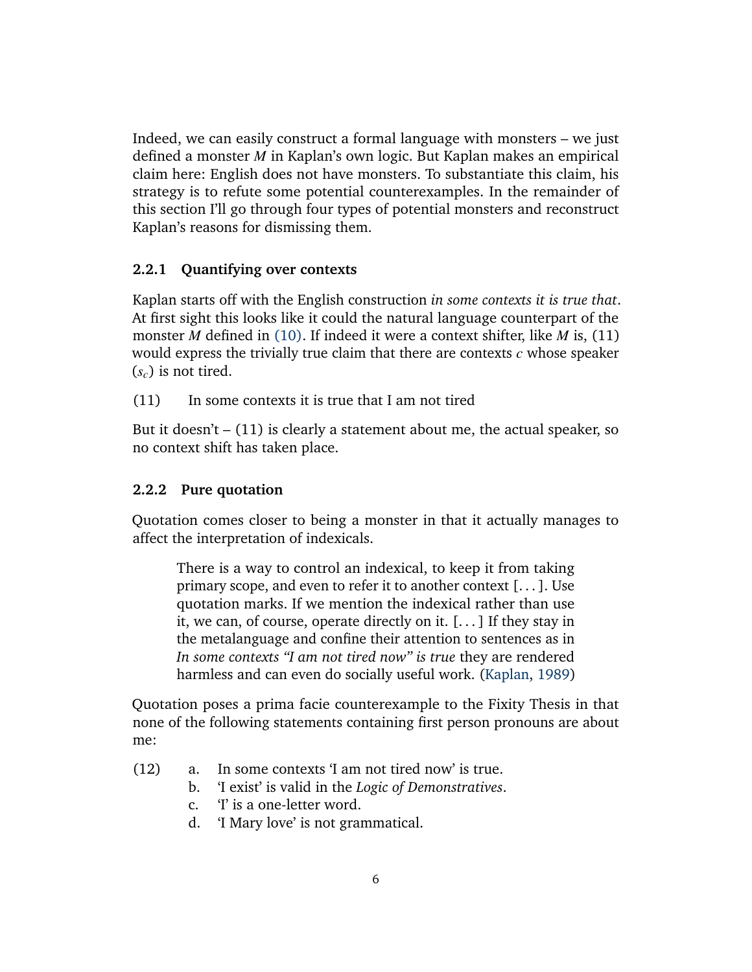Indeed, we can easily construct a formal language with monsters – we just defined a monster *M* in Kaplan's own logic. But Kaplan makes an empirical claim here: English does not have monsters. To substantiate this claim, his strategy is to refute some potential counterexamples. In the remainder of this section I'll go through four types of potential monsters and reconstruct Kaplan's reasons for dismissing them.

# <span id="page-5-0"></span>**2.2.1 Quantifying over contexts**

Kaplan starts off with the English construction *in some contexts it is true that*. At first sight this looks like it could the natural language counterpart of the monster *M* defined in [\(10\).](#page-4-1) If indeed it were a context shifter, like *M* is, (11) would express the trivially true claim that there are contexts *c* whose speaker (*sc*) is not tired.

(11) In some contexts it is true that I am not tired

But it doesn't  $-$  (11) is clearly a statement about me, the actual speaker, so no context shift has taken place.

# <span id="page-5-1"></span>**2.2.2 Pure quotation**

Quotation comes closer to being a monster in that it actually manages to affect the interpretation of indexicals.

There is a way to control an indexical, to keep it from taking primary scope, and even to refer it to another context [. . . ]. Use quotation marks. If we mention the indexical rather than use it, we can, of course, operate directly on it. [. . . ] If they stay in the metalanguage and confine their attention to sentences as in *In some contexts "I am not tired now" is true* they are rendered harmless and can even do socially useful work. [\(Kaplan,](#page-30-0) [1989\)](#page-30-0)

Quotation poses a prima facie counterexample to the Fixity Thesis in that none of the following statements containing first person pronouns are about me:

- <span id="page-5-4"></span><span id="page-5-3"></span><span id="page-5-2"></span>(12) a. In some contexts 'I am not tired now' is true.
	- b. 'I exist' is valid in the *Logic of Demonstratives*.
	- c. 'I' is a one-letter word.
	- d. 'I Mary love' is not grammatical.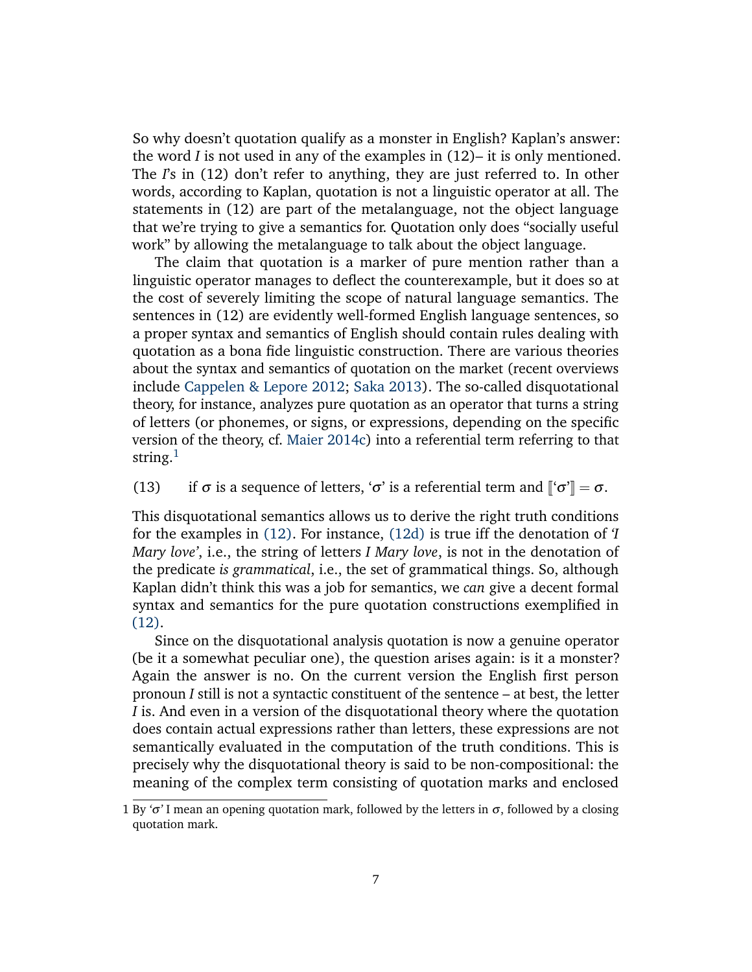So why doesn't quotation qualify as a monster in English? Kaplan's answer: the word *I* is not used in any of the examples in (12)– it is only mentioned. The *I*'s in (12) don't refer to anything, they are just referred to. In other words, according to Kaplan, quotation is not a linguistic operator at all. The statements in (12) are part of the metalanguage, not the object language that we're trying to give a semantics for. Quotation only does "socially useful work" by allowing the metalanguage to talk about the object language.

The claim that quotation is a marker of pure mention rather than a linguistic operator manages to deflect the counterexample, but it does so at the cost of severely limiting the scope of natural language semantics. The sentences in (12) are evidently well-formed English language sentences, so a proper syntax and semantics of English should contain rules dealing with quotation as a bona fide linguistic construction. There are various theories about the syntax and semantics of quotation on the market (recent overviews include [Cappelen & Lepore](#page-29-0) [2012;](#page-29-0) [Saka](#page-31-1) [2013\)](#page-31-1). The so-called disquotational theory, for instance, analyzes pure quotation as an operator that turns a string of letters (or phonemes, or signs, or expressions, depending on the specific version of the theory, cf. [Maier](#page-30-2) [2014c\)](#page-30-2) into a referential term referring to that string. $<sup>1</sup>$  $<sup>1</sup>$  $<sup>1</sup>$ </sup>

# (13) if  $\sigma$  is a sequence of letters, ' $\sigma$ ' is a referential term and  $\lbrack \lbrack \sigma \rbrack = \sigma$ .

This disquotational semantics allows us to derive the right truth conditions for the examples in [\(12\).](#page-5-2) For instance, [\(12d\)](#page-5-3) is true iff the denotation of *'I Mary love'*, i.e., the string of letters *I Mary love*, is not in the denotation of the predicate *is grammatical*, i.e., the set of grammatical things. So, although Kaplan didn't think this was a job for semantics, we *can* give a decent formal syntax and semantics for the pure quotation constructions exemplified in [\(12\).](#page-5-2)

Since on the disquotational analysis quotation is now a genuine operator (be it a somewhat peculiar one), the question arises again: is it a monster? Again the answer is no. On the current version the English first person pronoun *I* still is not a syntactic constituent of the sentence – at best, the letter *I* is. And even in a version of the disquotational theory where the quotation does contain actual expressions rather than letters, these expressions are not semantically evaluated in the computation of the truth conditions. This is precisely why the disquotational theory is said to be non-compositional: the meaning of the complex term consisting of quotation marks and enclosed

<span id="page-6-0"></span><sup>1</sup> By *'*σ*'* I mean an opening quotation mark, followed by the letters in σ, followed by a closing quotation mark.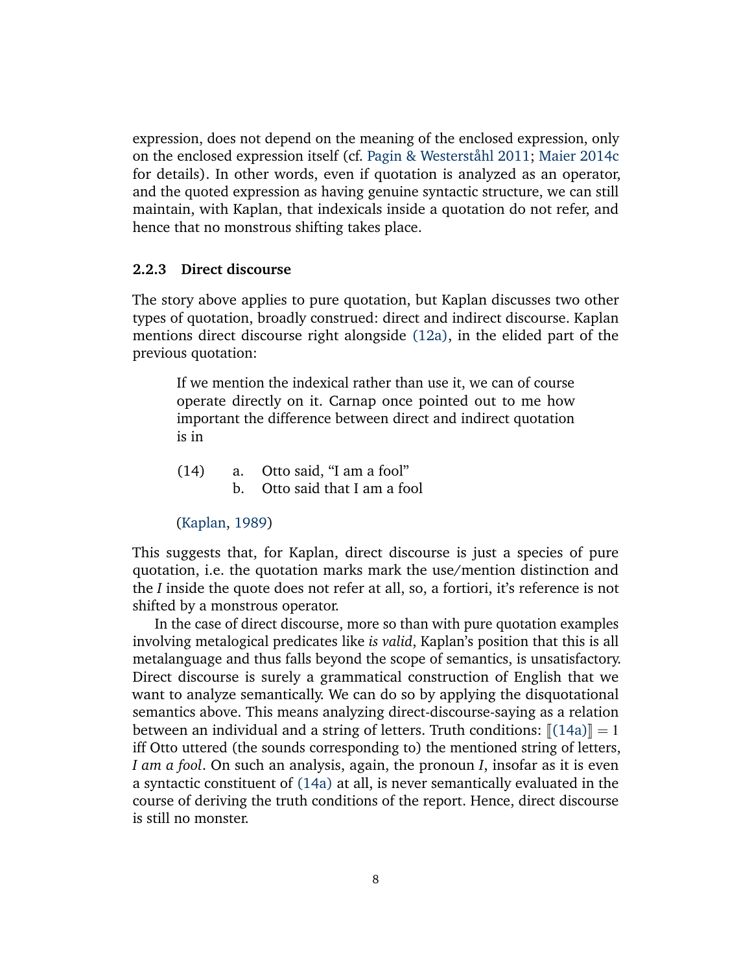expression, does not depend on the meaning of the enclosed expression, only on the enclosed expression itself (cf. [Pagin & Westerståhl](#page-30-3) [2011;](#page-30-3) [Maier](#page-30-2) [2014c](#page-30-2) for details). In other words, even if quotation is analyzed as an operator, and the quoted expression as having genuine syntactic structure, we can still maintain, with Kaplan, that indexicals inside a quotation do not refer, and hence that no monstrous shifting takes place.

#### <span id="page-7-0"></span>**2.2.3 Direct discourse**

The story above applies to pure quotation, but Kaplan discusses two other types of quotation, broadly construed: direct and indirect discourse. Kaplan mentions direct discourse right alongside [\(12a\),](#page-5-4) in the elided part of the previous quotation:

If we mention the indexical rather than use it, we can of course operate directly on it. Carnap once pointed out to me how important the difference between direct and indirect quotation is in

<span id="page-7-3"></span><span id="page-7-2"></span><span id="page-7-1"></span>(14) a. Otto said, "I am a fool"

b. Otto said that I am a fool

[\(Kaplan,](#page-30-0) [1989\)](#page-30-0)

This suggests that, for Kaplan, direct discourse is just a species of pure quotation, i.e. the quotation marks mark the use/mention distinction and the *I* inside the quote does not refer at all, so, a fortiori, it's reference is not shifted by a monstrous operator.

In the case of direct discourse, more so than with pure quotation examples involving metalogical predicates like *is valid*, Kaplan's position that this is all metalanguage and thus falls beyond the scope of semantics, is unsatisfactory. Direct discourse is surely a grammatical construction of English that we want to analyze semantically. We can do so by applying the disquotational semantics above. This means analyzing direct-discourse-saying as a relation between an individual and a string of letters. Truth conditions:  $\llbracket (14a) \rrbracket = 1$  $\llbracket (14a) \rrbracket = 1$  $\llbracket (14a) \rrbracket = 1$ iff Otto uttered (the sounds corresponding to) the mentioned string of letters, *I am a fool*. On such an analysis, again, the pronoun *I*, insofar as it is even a syntactic constituent of [\(14a\)](#page-7-1) at all, is never semantically evaluated in the course of deriving the truth conditions of the report. Hence, direct discourse is still no monster.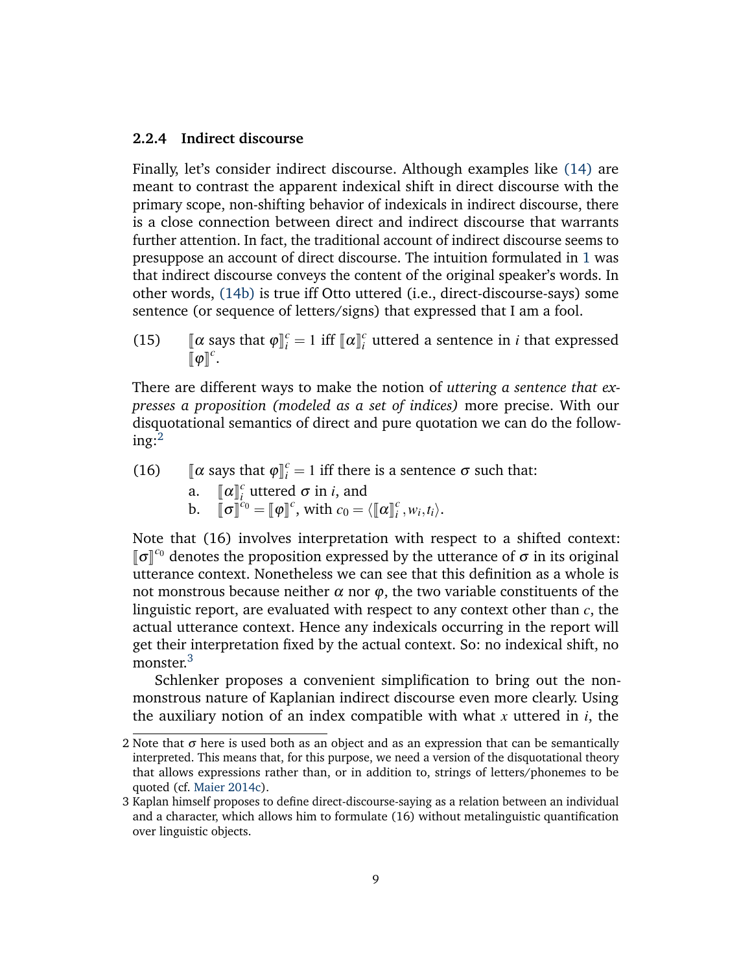#### <span id="page-8-0"></span>**2.2.4 Indirect discourse**

Finally, let's consider indirect discourse. Although examples like [\(14\)](#page-7-2) are meant to contrast the apparent indexical shift in direct discourse with the primary scope, non-shifting behavior of indexicals in indirect discourse, there is a close connection between direct and indirect discourse that warrants further attention. In fact, the traditional account of indirect discourse seems to presuppose an account of direct discourse. The intuition formulated in [1](#page-1-0) was that indirect discourse conveys the content of the original speaker's words. In other words, [\(14b\)](#page-7-3) is true iff Otto uttered (i.e., direct-discourse-says) some sentence (or sequence of letters/signs) that expressed that I am a fool.

(15)  $\left[\alpha \text{ says that } \varphi \right]_i^c = 1 \text{ iff } \left[\alpha \right]_i^c$  $\frac{c}{i}$  uttered a sentence in  $i$  that expressed  $\llbracket \varphi \rrbracket^c$ .

There are different ways to make the notion of *uttering a sentence that expresses a proposition (modeled as a set of indices)* more precise. With our disquotational semantics of direct and pure quotation we can do the follow- $ing: <sup>2</sup>$  $ing: <sup>2</sup>$  $ing: <sup>2</sup>$ 

- (16)  $[\![\alpha \text{ says that } \varphi]\!]_i^c = 1 \text{ iff there is a sentence } \sigma \text{ such that:}$ 
	- a.  $\llbracket \alpha \rrbracket_{i}^{c}$ <br>b  $\llbracket \sigma \rrbracket_{i}^{c}$ *i* uttered σ in *i*, and

b. 
$$
\[\mathbf{\sigma}\]^{c_0} = [\![\boldsymbol{\varphi}\!]^c
$$
, with  $c_0 = \langle [\![\boldsymbol{\alpha}]\!]^c_i, w_i, t_i \rangle$ .

Note that (16) involves interpretation with respect to a shifted context:  $[\![σ]\!]^{c_0}$  denotes the proposition expressed by the utterance of  $\sigma$  in its original<br>utterance context. Nepetholess we can see that this definition as a whole is utterance context. Nonetheless we can see that this definition as a whole is not monstrous because neither  $\alpha$  nor  $\varphi$ , the two variable constituents of the linguistic report, are evaluated with respect to any context other than *c*, the actual utterance context. Hence any indexicals occurring in the report will get their interpretation fixed by the actual context. So: no indexical shift, no monster.<sup>[3](#page-8-2)</sup>

Schlenker proposes a convenient simplification to bring out the nonmonstrous nature of Kaplanian indirect discourse even more clearly. Using the auxiliary notion of an index compatible with what *x* uttered in *i*, the

<span id="page-8-1"></span><sup>2</sup> Note that  $\sigma$  here is used both as an object and as an expression that can be semantically interpreted. This means that, for this purpose, we need a version of the disquotational theory that allows expressions rather than, or in addition to, strings of letters/phonemes to be quoted (cf. [Maier](#page-30-2) [2014c\)](#page-30-2).

<span id="page-8-2"></span><sup>3</sup> Kaplan himself proposes to define direct-discourse-saying as a relation between an individual and a character, which allows him to formulate (16) without metalinguistic quantification over linguistic objects.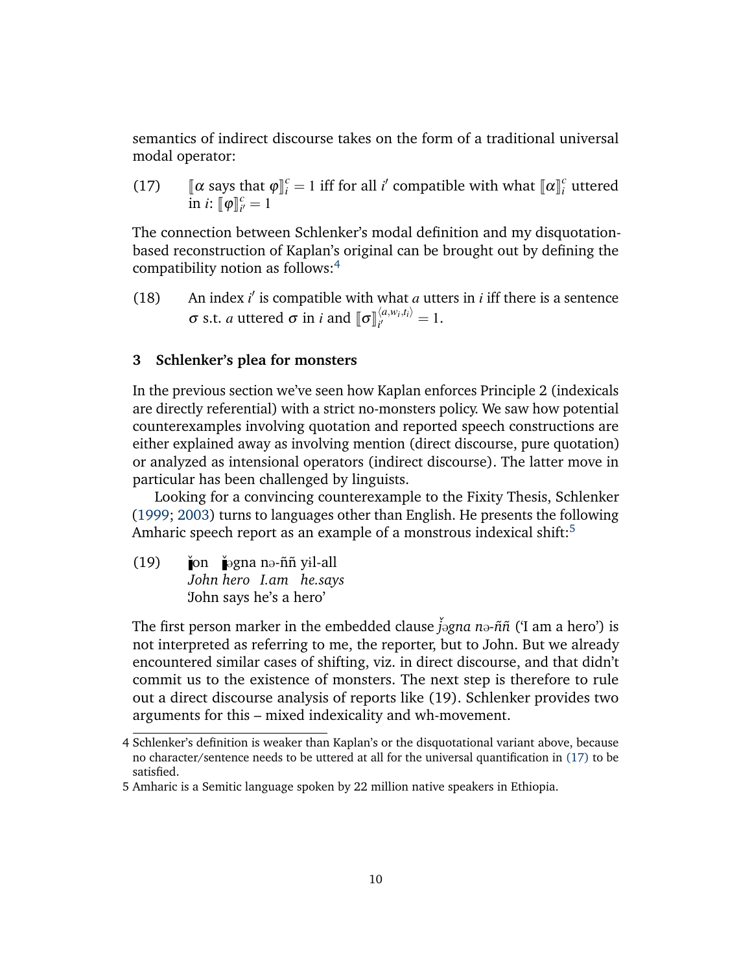<span id="page-9-3"></span>semantics of indirect discourse takes on the form of a traditional universal modal operator:

(17)  $[\![\alpha \text{ says that } \varphi]\!]_i^c = 1 \text{ iff for all } i' \text{ compatible with what } [\![\alpha]\!]_i^c$  $i$ <sup>c</sup> uttered  $\lim i: [\![\varphi]\!]_{i'}^c$  $i^c_i = 1$ 

The connection between Schlenker's modal definition and my disquotationbased reconstruction of Kaplan's original can be brought out by defining the compatibility notion as follows:<sup>[4](#page-9-1)</sup>

(18) An index  $i'$  is compatible with what  $a$  utters in  $i$  iff there is a sentence σ s.t. *a* uttered σ in *i* and  $\llbracket σ \rrbracket_{i'}^{\langle a, w_i, t_i \rangle}$  $\sum_{i'}^{(a,w_i,i_i)}=1.$ 

## <span id="page-9-0"></span>**3 Schlenker's plea for monsters**

In the previous section we've seen how Kaplan enforces Principle 2 (indexicals are directly referential) with a strict no-monsters policy. We saw how potential counterexamples involving quotation and reported speech constructions are either explained away as involving mention (direct discourse, pure quotation) or analyzed as intensional operators (indirect discourse). The latter move in particular has been challenged by linguists.

Looking for a convincing counterexample to the Fixity Thesis, Schlenker [\(1999;](#page-31-2) [2003\)](#page-31-0) turns to languages other than English. He presents the following Amharic speech report as an example of a monstrous indexical shift:<sup>[5](#page-9-2)</sup>

 $(19)$ *John hero I.am he.says* **ĭ**əgna nə-ññ yɨl-all 'John says he's a hero'

The first person marker in the embedded clause *ˇj*@*gna n*@*-ññ* ('I am a hero') is not interpreted as referring to me, the reporter, but to John. But we already encountered similar cases of shifting, viz. in direct discourse, and that didn't commit us to the existence of monsters. The next step is therefore to rule out a direct discourse analysis of reports like (19). Schlenker provides two arguments for this – mixed indexicality and wh-movement.

<span id="page-9-1"></span><sup>4</sup> Schlenker's definition is weaker than Kaplan's or the disquotational variant above, because no character/sentence needs to be uttered at all for the universal quantification in [\(17\)](#page-9-3) to be satisfied.

<span id="page-9-2"></span><sup>5</sup> Amharic is a Semitic language spoken by 22 million native speakers in Ethiopia.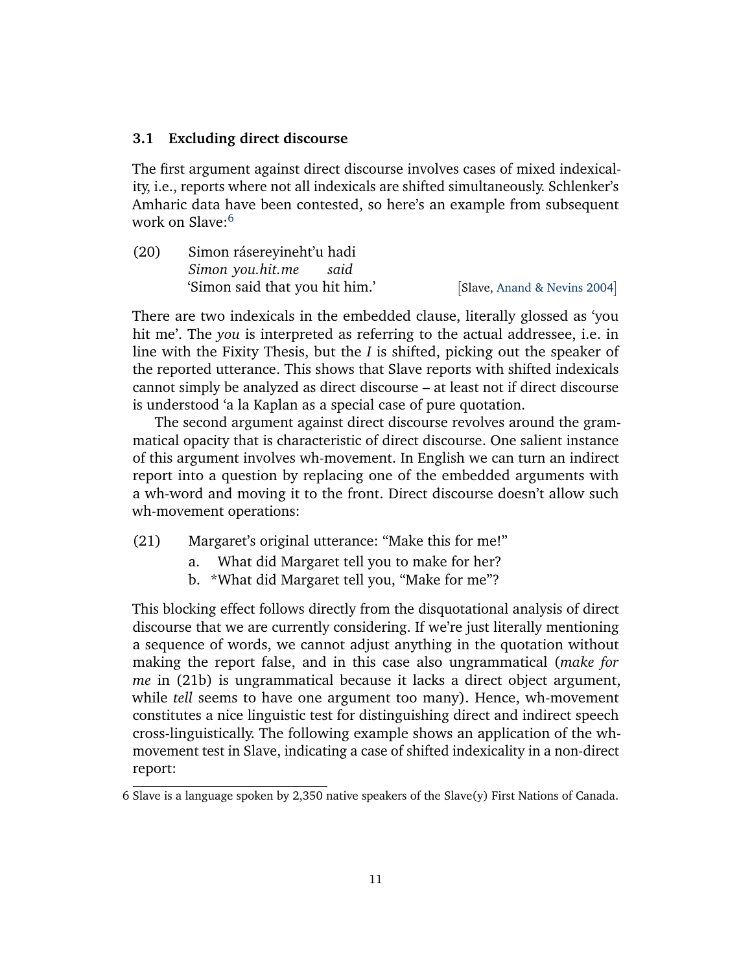### <span id="page-10-0"></span>**3.1 Excluding direct discourse**

The first argument against direct discourse involves cases of mixed indexicality, i.e., reports where not all indexicals are shifted simultaneously. Schlenker's Amharic data have been contested, so here's an example from subsequent work on Slave:<sup>[6](#page-10-1)</sup>

<span id="page-10-2"></span>(20) Simon rásereyineht'u hadi *Simon you.hit.me said* 'Simon said that you hit him.' -Slave, [Anand & Nevins](#page-29-1) [2004](#page-29-1)

There are two indexicals in the embedded clause, literally glossed as 'you hit me'. The *you* is interpreted as referring to the actual addressee, i.e. in line with the Fixity Thesis, but the *I* is shifted, picking out the speaker of the reported utterance. This shows that Slave reports with shifted indexicals cannot simply be analyzed as direct discourse – at least not if direct discourse is understood 'a la Kaplan as a special case of pure quotation.

The second argument against direct discourse revolves around the grammatical opacity that is characteristic of direct discourse. One salient instance of this argument involves wh-movement. In English we can turn an indirect report into a question by replacing one of the embedded arguments with a wh-word and moving it to the front. Direct discourse doesn't allow such wh-movement operations:

- (21) Margaret's original utterance: "Make this for me!"
	- a. What did Margaret tell you to make for her?
	- b. \*What did Margaret tell you, "Make for me"?

This blocking effect follows directly from the disquotational analysis of direct discourse that we are currently considering. If we're just literally mentioning a sequence of words, we cannot adjust anything in the quotation without making the report false, and in this case also ungrammatical (*make for me* in (21b) is ungrammatical because it lacks a direct object argument, while *tell* seems to have one argument too many). Hence, wh-movement constitutes a nice linguistic test for distinguishing direct and indirect speech cross-linguistically. The following example shows an application of the whmovement test in Slave, indicating a case of shifted indexicality in a non-direct report:

<span id="page-10-1"></span><sup>6</sup> Slave is a language spoken by 2,350 native speakers of the Slave(y) First Nations of Canada.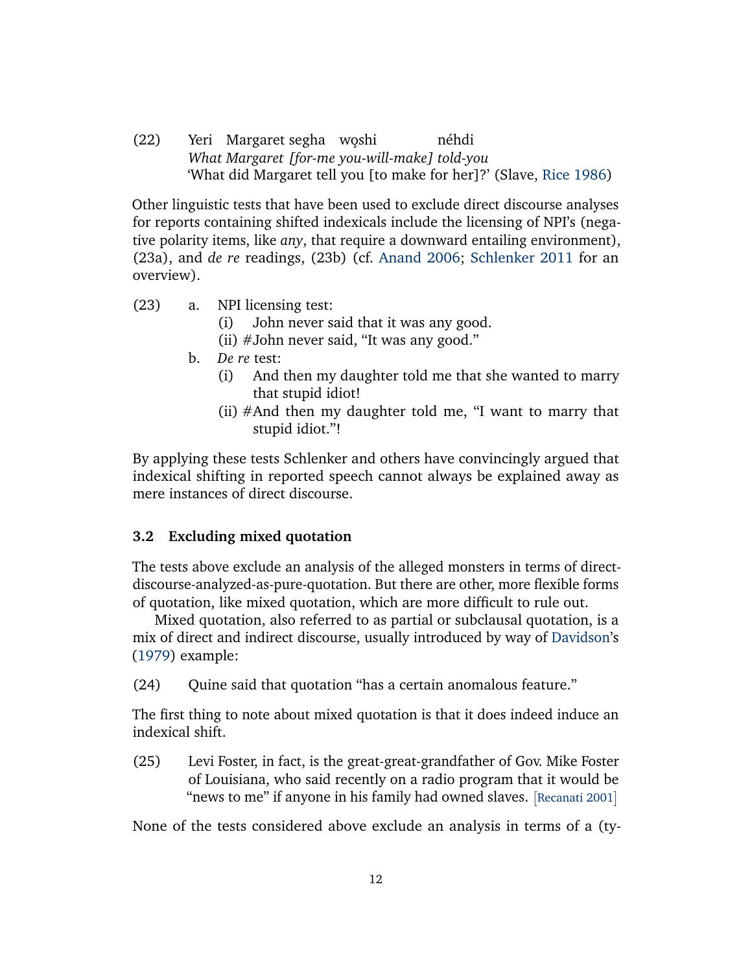$(22)$ *What Margaret [for-me you-will-make] told-you* Margaret segha) woʻshi néhdi 'What did Margaret tell you [to make for her]?' (Slave, [Rice](#page-31-3) [1986\)](#page-31-3)

Other linguistic tests that have been used to exclude direct discourse analyses for reports containing shifted indexicals include the licensing of NPI's (negative polarity items, like *any*, that require a downward entailing environment), (23a), and *de re* readings, (23b) (cf. [Anand](#page-29-2) [2006;](#page-29-2) [Schlenker](#page-31-4) [2011](#page-31-4) for an overview).

- (23) a. NPI licensing test:
	- (i) John never said that it was any good.
	- (ii) #John never said, "It was any good."
	- b. *De re* test:
		- (i) And then my daughter told me that she wanted to marry that stupid idiot!
		- (ii) #And then my daughter told me, "I want to marry that stupid idiot."!

By applying these tests Schlenker and others have convincingly argued that indexical shifting in reported speech cannot always be explained away as mere instances of direct discourse.

### <span id="page-11-0"></span>**3.2 Excluding mixed quotation**

The tests above exclude an analysis of the alleged monsters in terms of directdiscourse-analyzed-as-pure-quotation. But there are other, more flexible forms of quotation, like mixed quotation, which are more difficult to rule out.

<span id="page-11-1"></span>Mixed quotation, also referred to as partial or subclausal quotation, is a mix of direct and indirect discourse, usually introduced by way of [Davidson'](#page-29-3)s [\(1979\)](#page-29-3) example:

(24) Quine said that quotation "has a certain anomalous feature."

The first thing to note about mixed quotation is that it does indeed induce an indexical shift.

<span id="page-11-2"></span>(25) Levi Foster, in fact, is the great-great-grandfather of Gov. Mike Foster of Louisiana, who said recently on a radio program that it would be "news to me" if anyone in his family had owned slaves. [[Recanati](#page-31-5) [2001](#page-31-5)]

None of the tests considered above exclude an analysis in terms of a (ty-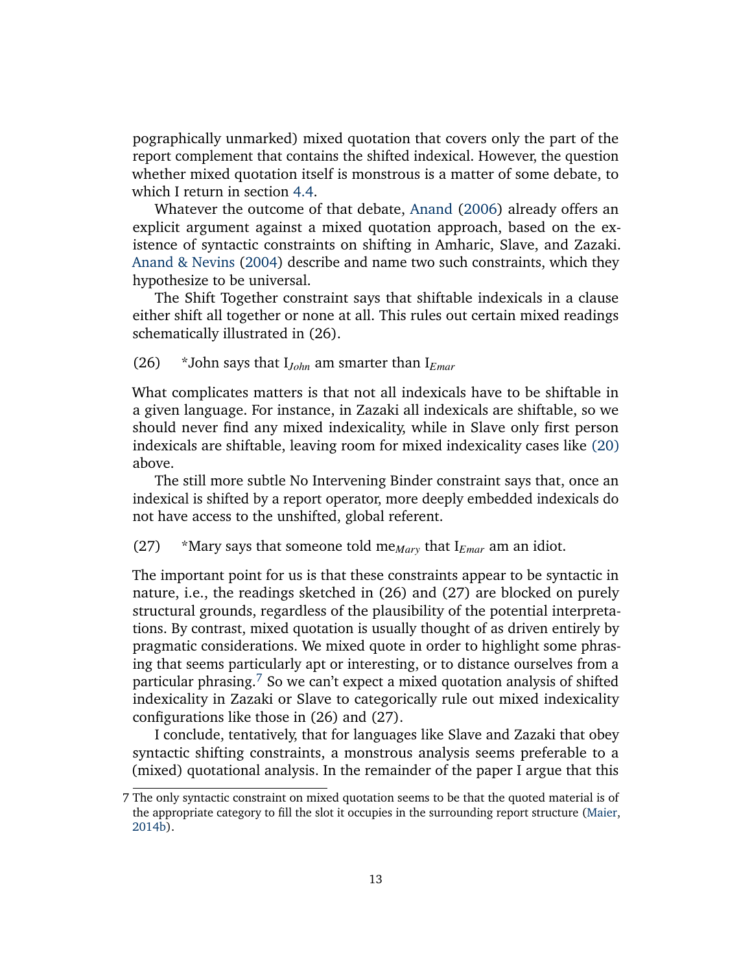pographically unmarked) mixed quotation that covers only the part of the report complement that contains the shifted indexical. However, the question whether mixed quotation itself is monstrous is a matter of some debate, to which I return in section [4.4.](#page-16-0)

Whatever the outcome of that debate, [Anand](#page-29-2) [\(2006\)](#page-29-2) already offers an explicit argument against a mixed quotation approach, based on the existence of syntactic constraints on shifting in Amharic, Slave, and Zazaki. [Anand & Nevins](#page-29-1) [\(2004\)](#page-29-1) describe and name two such constraints, which they hypothesize to be universal.

The Shift Together constraint says that shiftable indexicals in a clause either shift all together or none at all. This rules out certain mixed readings schematically illustrated in (26).

(26) \*John says that I*John* am smarter than I*Emar*

What complicates matters is that not all indexicals have to be shiftable in a given language. For instance, in Zazaki all indexicals are shiftable, so we should never find any mixed indexicality, while in Slave only first person indexicals are shiftable, leaving room for mixed indexicality cases like [\(20\)](#page-10-2) above.

The still more subtle No Intervening Binder constraint says that, once an indexical is shifted by a report operator, more deeply embedded indexicals do not have access to the unshifted, global referent.

(27)  $*$ Mary says that someone told me<sub>Mary</sub> that I<sub>Emar</sub> am an idiot.

The important point for us is that these constraints appear to be syntactic in nature, i.e., the readings sketched in (26) and (27) are blocked on purely structural grounds, regardless of the plausibility of the potential interpretations. By contrast, mixed quotation is usually thought of as driven entirely by pragmatic considerations. We mixed quote in order to highlight some phrasing that seems particularly apt or interesting, or to distance ourselves from a particular phrasing.[7](#page-12-0) So we can't expect a mixed quotation analysis of shifted indexicality in Zazaki or Slave to categorically rule out mixed indexicality configurations like those in (26) and (27).

I conclude, tentatively, that for languages like Slave and Zazaki that obey syntactic shifting constraints, a monstrous analysis seems preferable to a (mixed) quotational analysis. In the remainder of the paper I argue that this

<span id="page-12-0"></span><sup>7</sup> The only syntactic constraint on mixed quotation seems to be that the quoted material is of the appropriate category to fill the slot it occupies in the surrounding report structure [\(Maier,](#page-30-4) [2014b\)](#page-30-4).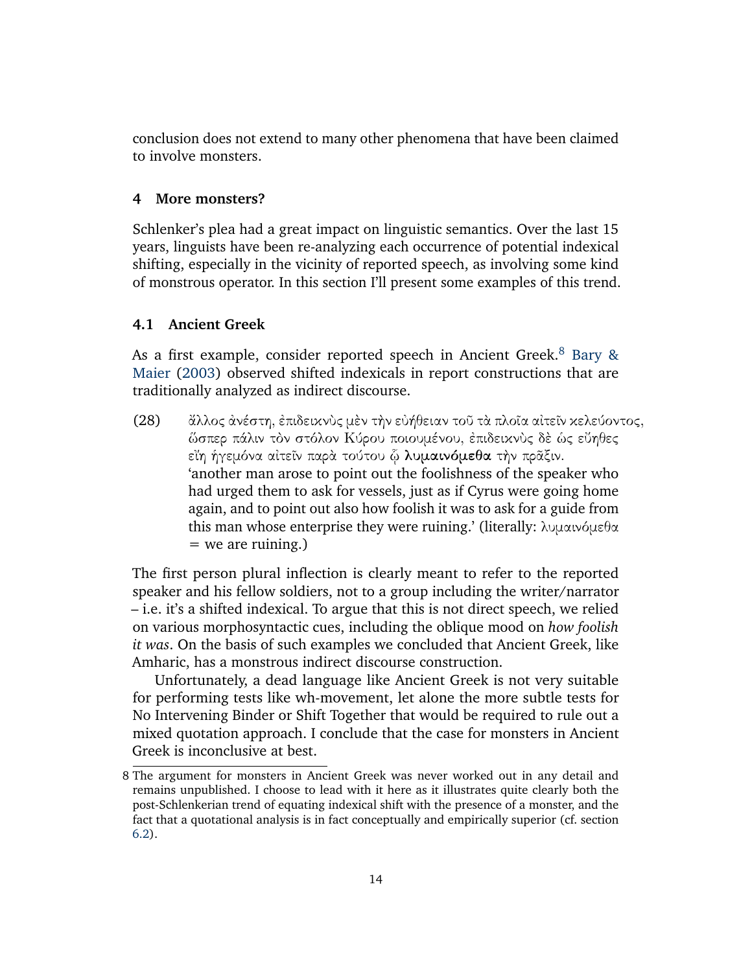conclusion does not extend to many other phenomena that have been claimed to involve monsters.

### <span id="page-13-0"></span>**4 More monsters?**

Schlenker's plea had a great impact on linguistic semantics. Over the last 15 years, linguists have been re-analyzing each occurrence of potential indexical shifting, especially in the vicinity of reported speech, as involving some kind of monstrous operator. In this section I'll present some examples of this trend.

#### <span id="page-13-1"></span>**4.1 Ancient Greek**

As a first example, consider reported speech in Ancient Greek.<sup>[8](#page-13-2)</sup> Bary  $\&$ [Maier](#page-29-4) [\(2003\)](#page-29-4) observed shifted indexicals in report constructions that are traditionally analyzed as indirect discourse.

<span id="page-13-3"></span>(28) δλλος ανέστη, επιδεικνὺς μεν την εὐήθειαν τοῦ τὰ πλοῖα αἰτεῖν κελεύοντος, ώσπερ πάλιν τον στόλον Κύρου ποιουμένου, επιδεικνύς δε ως εύηθες εἴη ήγεμόνα αίτεῖν παρὰ τούτου ῷ λυμαινόμεθα τὴν πρᾶξιν. 'another man arose to point out the foolishness of the speaker who had urged them to ask for vessels, just as if Cyrus were going home again, and to point out also how foolish it was to ask for a guide from this man whose enterprise they were ruining.' (literally: λυμαινόμεθα  $=$  we are ruining.)

The first person plural inflection is clearly meant to refer to the reported speaker and his fellow soldiers, not to a group including the writer/narrator – i.e. it's a shifted indexical. To argue that this is not direct speech, we relied on various morphosyntactic cues, including the oblique mood on *how foolish it was*. On the basis of such examples we concluded that Ancient Greek, like Amharic, has a monstrous indirect discourse construction.

Unfortunately, a dead language like Ancient Greek is not very suitable for performing tests like wh-movement, let alone the more subtle tests for No Intervening Binder or Shift Together that would be required to rule out a mixed quotation approach. I conclude that the case for monsters in Ancient Greek is inconclusive at best.

<span id="page-13-2"></span><sup>8</sup> The argument for monsters in Ancient Greek was never worked out in any detail and remains unpublished. I choose to lead with it here as it illustrates quite clearly both the post-Schlenkerian trend of equating indexical shift with the presence of a monster, and the fact that a quotational analysis is in fact conceptually and empirically superior (cf. section [6.2\)](#page-25-0).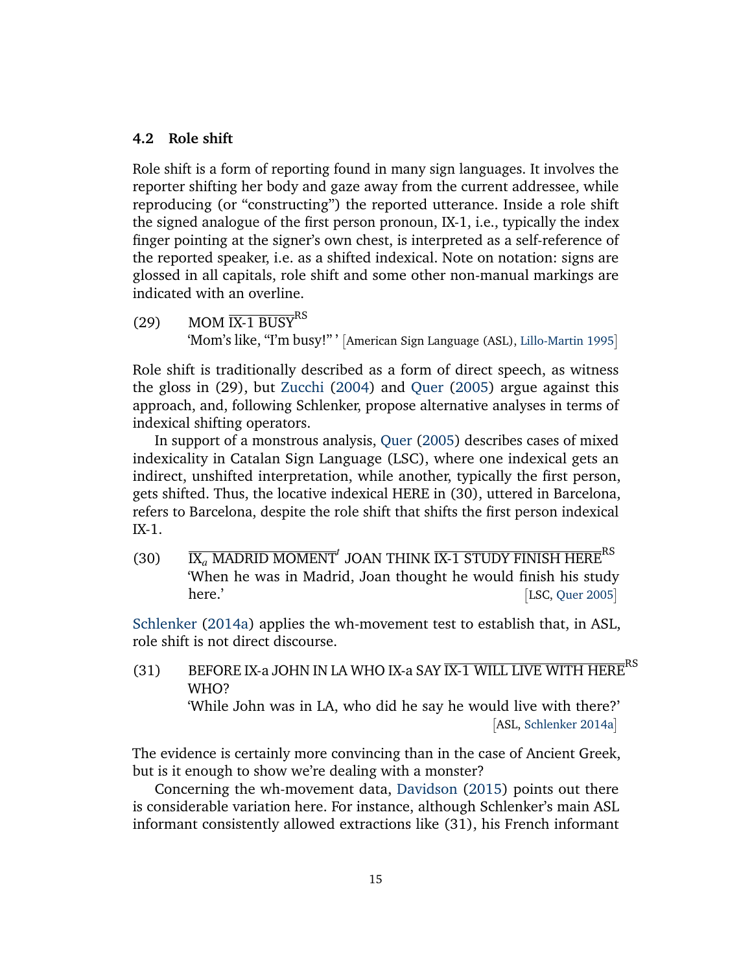### <span id="page-14-0"></span>**4.2 Role shift**

Role shift is a form of reporting found in many sign languages. It involves the reporter shifting her body and gaze away from the current addressee, while reproducing (or "constructing") the reported utterance. Inside a role shift the signed analogue of the first person pronoun, IX-1, i.e., typically the index finger pointing at the signer's own chest, is interpreted as a self-reference of the reported speaker, i.e. as a shifted indexical. Note on notation: signs are glossed in all capitals, role shift and some other non-manual markings are indicated with an overline.

(29) MOM  $\overline{IX-1}$  BUSY<sup>RS</sup> 'Mom's like, "I'm busy!"' [American Sign Language (ASL), [Lillo-Martin](#page-30-5) [1995](#page-30-5)]

Role shift is traditionally described as a form of direct speech, as witness the gloss in (29), but [Zucchi](#page-31-6) [\(2004\)](#page-31-6) and [Quer](#page-30-6) [\(2005\)](#page-30-6) argue against this approach, and, following Schlenker, propose alternative analyses in terms of indexical shifting operators.

In support of a monstrous analysis, [Quer](#page-30-6) [\(2005\)](#page-30-6) describes cases of mixed indexicality in Catalan Sign Language (LSC), where one indexical gets an indirect, unshifted interpretation, while another, typically the first person, gets shifted. Thus, the locative indexical HERE in (30), uttered in Barcelona, refers to Barcelona, despite the role shift that shifts the first person indexical IX-1.

<span id="page-14-1"></span>(30)  $\overline{IX_a}$  MADRID MOMENT<sup> $t$ </sup> JOAN THINK  $\overline{IX_1}$  STUDY FINISH HERE<sup>RS</sup> 'When he was in Madrid, Joan thought he would finish his study here.'  $\blacksquare$ LSC, [Quer](#page-30-6) [2005](#page-30-6)

[Schlenker](#page-31-7) [\(2014a\)](#page-31-7) applies the wh-movement test to establish that, in ASL, role shift is not direct discourse.

(31) BEFORE IX-a JOHN IN LA WHO IX-a SAY  $\overline{IX-1}$  WILL LIVE WITH HERE<sup>RS</sup> WHO? 'While John was in LA, who did he say he would live with there?' [ASL, [Schlenker](#page-31-7) [2014a](#page-31-7)]

The evidence is certainly more convincing than in the case of Ancient Greek, but is it enough to show we're dealing with a monster?

Concerning the wh-movement data, [Davidson](#page-29-5) [\(2015\)](#page-29-5) points out there is considerable variation here. For instance, although Schlenker's main ASL informant consistently allowed extractions like (31), his French informant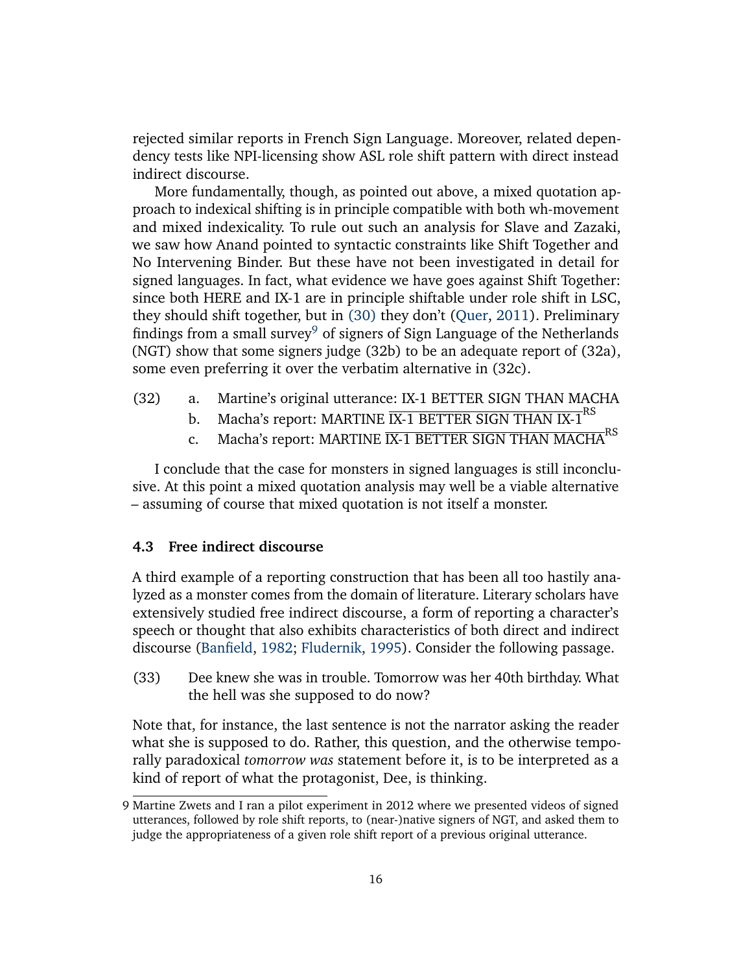rejected similar reports in French Sign Language. Moreover, related dependency tests like NPI-licensing show ASL role shift pattern with direct instead indirect discourse.

More fundamentally, though, as pointed out above, a mixed quotation approach to indexical shifting is in principle compatible with both wh-movement and mixed indexicality. To rule out such an analysis for Slave and Zazaki, we saw how Anand pointed to syntactic constraints like Shift Together and No Intervening Binder. But these have not been investigated in detail for signed languages. In fact, what evidence we have goes against Shift Together: since both HERE and IX-1 are in principle shiftable under role shift in LSC, they should shift together, but in [\(30\)](#page-14-1) they don't [\(Quer,](#page-30-7) [2011\)](#page-30-7). Preliminary findings from a small survey<sup>[9](#page-15-1)</sup> of signers of Sign Language of the Netherlands (NGT) show that some signers judge (32b) to be an adequate report of (32a), some even preferring it over the verbatim alternative in (32c).

- <span id="page-15-2"></span>(32) a. Martine's original utterance: IX-1 BETTER SIGN THAN MACHA
	- b. Macha's report: MARTINE  $\overline{IX-1}$  BETTER SIGN THAN  $\overline{IX-1}^{RS}$
	- c. Macha's report: MARTINE IX-1 BETTER SIGN THAN MACHARS

I conclude that the case for monsters in signed languages is still inconclusive. At this point a mixed quotation analysis may well be a viable alternative – assuming of course that mixed quotation is not itself a monster.

# <span id="page-15-0"></span>**4.3 Free indirect discourse**

A third example of a reporting construction that has been all too hastily analyzed as a monster comes from the domain of literature. Literary scholars have extensively studied free indirect discourse, a form of reporting a character's speech or thought that also exhibits characteristics of both direct and indirect discourse [\(Banfield,](#page-29-6) [1982;](#page-29-6) [Fludernik,](#page-30-8) [1995\)](#page-30-8). Consider the following passage.

(33) Dee knew she was in trouble. Tomorrow was her 40th birthday. What the hell was she supposed to do now?

Note that, for instance, the last sentence is not the narrator asking the reader what she is supposed to do. Rather, this question, and the otherwise temporally paradoxical *tomorrow was* statement before it, is to be interpreted as a kind of report of what the protagonist, Dee, is thinking.

<span id="page-15-1"></span><sup>9</sup> Martine Zwets and I ran a pilot experiment in 2012 where we presented videos of signed utterances, followed by role shift reports, to (near-)native signers of NGT, and asked them to judge the appropriateness of a given role shift report of a previous original utterance.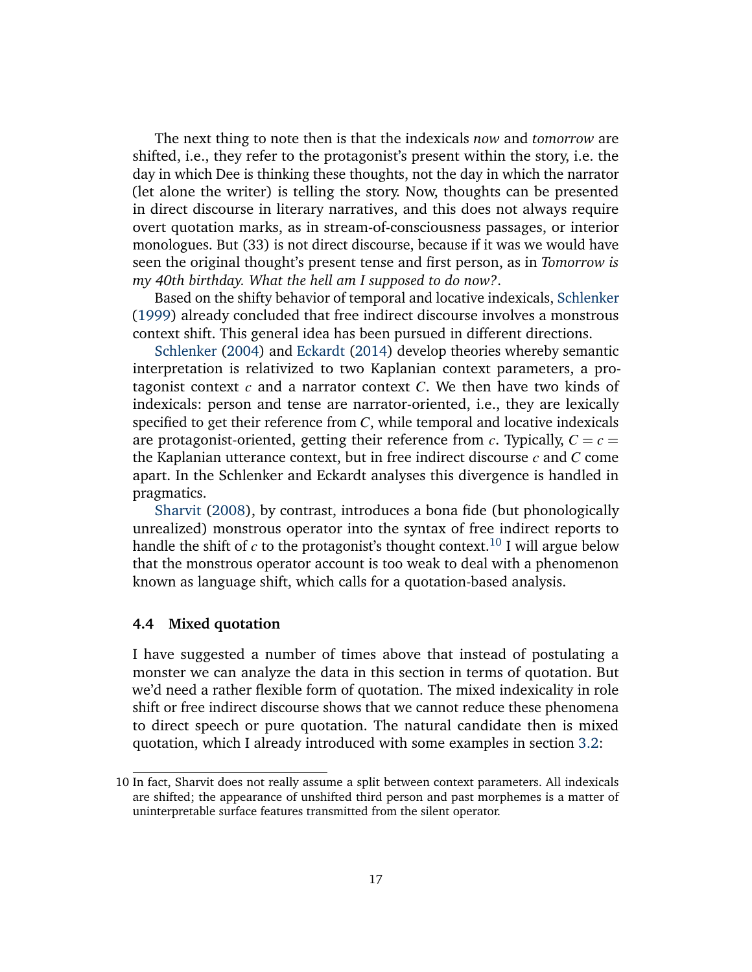The next thing to note then is that the indexicals *now* and *tomorrow* are shifted, i.e., they refer to the protagonist's present within the story, i.e. the day in which Dee is thinking these thoughts, not the day in which the narrator (let alone the writer) is telling the story. Now, thoughts can be presented in direct discourse in literary narratives, and this does not always require overt quotation marks, as in stream-of-consciousness passages, or interior monologues. But (33) is not direct discourse, because if it was we would have seen the original thought's present tense and first person, as in *Tomorrow is my 40th birthday. What the hell am I supposed to do now?*.

Based on the shifty behavior of temporal and locative indexicals, [Schlenker](#page-31-2) [\(1999\)](#page-31-2) already concluded that free indirect discourse involves a monstrous context shift. This general idea has been pursued in different directions.

[Schlenker](#page-31-8) [\(2004\)](#page-31-8) and [Eckardt](#page-29-7) [\(2014\)](#page-29-7) develop theories whereby semantic interpretation is relativized to two Kaplanian context parameters, a protagonist context *c* and a narrator context *C*. We then have two kinds of indexicals: person and tense are narrator-oriented, i.e., they are lexically specified to get their reference from *C*, while temporal and locative indexicals are protagonist-oriented, getting their reference from  $c$ . Typically,  $C = c =$ the Kaplanian utterance context, but in free indirect discourse *c* and *C* come apart. In the Schlenker and Eckardt analyses this divergence is handled in pragmatics.

[Sharvit](#page-31-9) [\(2008\)](#page-31-9), by contrast, introduces a bona fide (but phonologically unrealized) monstrous operator into the syntax of free indirect reports to handle the shift of  $c$  to the protagonist's thought context.<sup>[10](#page-16-1)</sup> I will argue below that the monstrous operator account is too weak to deal with a phenomenon known as language shift, which calls for a quotation-based analysis.

### <span id="page-16-0"></span>**4.4 Mixed quotation**

I have suggested a number of times above that instead of postulating a monster we can analyze the data in this section in terms of quotation. But we'd need a rather flexible form of quotation. The mixed indexicality in role shift or free indirect discourse shows that we cannot reduce these phenomena to direct speech or pure quotation. The natural candidate then is mixed quotation, which I already introduced with some examples in section [3.2:](#page-11-0)

<span id="page-16-2"></span><span id="page-16-1"></span><sup>10</sup> In fact, Sharvit does not really assume a split between context parameters. All indexicals are shifted; the appearance of unshifted third person and past morphemes is a matter of uninterpretable surface features transmitted from the silent operator.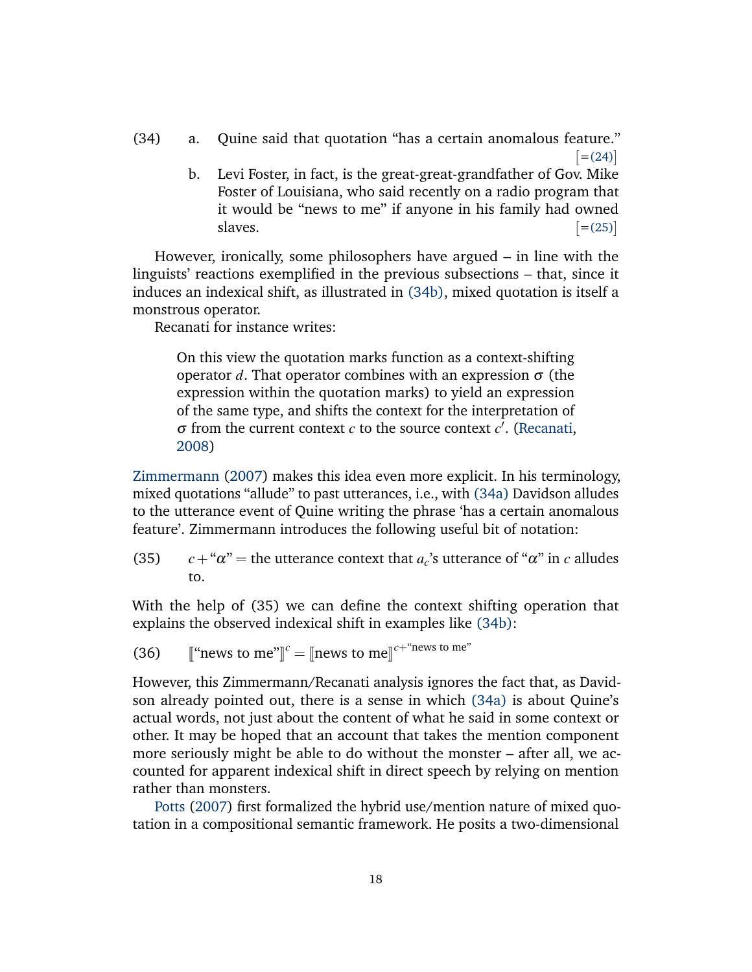- <span id="page-17-0"></span>(34) a. Quine said that quotation "has a certain anomalous feature."  $\left[ = (24) \right]$ 
	- b. Levi Foster, in fact, is the great-great-grandfather of Gov. Mike Foster of Louisiana, who said recently on a radio program that it would be "news to me" if anyone in his family had owned slaves.  $= (25)$

However, ironically, some philosophers have argued – in line with the linguists' reactions exemplified in the previous subsections – that, since it induces an indexical shift, as illustrated in [\(34b\),](#page-17-0) mixed quotation is itself a monstrous operator.

Recanati for instance writes:

On this view the quotation marks function as a context-shifting operator *d*. That operator combines with an expression  $σ$  (the expression within the quotation marks) to yield an expression of the same type, and shifts the context for the interpretation of σ from the current context *c* to the source context *c* 0 . [\(Recanati,](#page-31-10) [2008\)](#page-31-10)

[Zimmermann](#page-31-11) [\(2007\)](#page-31-11) makes this idea even more explicit. In his terminology, mixed quotations "allude" to past utterances, i.e., with [\(34a\)](#page-16-2) Davidson alludes to the utterance event of Quine writing the phrase 'has a certain anomalous feature'. Zimmermann introduces the following useful bit of notation:

(35)  $c + \alpha'' =$  the utterance context that  $a_c$ 's utterance of " $\alpha''$  in *c* alludes to.

With the help of (35) we can define the context shifting operation that explains the observed indexical shift in examples like [\(34b\):](#page-17-0)

(36) 
$$
["news to me"]c = [news to me]c+"news to me"
$$

However, this Zimmermann/Recanati analysis ignores the fact that, as Davidson already pointed out, there is a sense in which [\(34a\)](#page-16-2) is about Quine's actual words, not just about the content of what he said in some context or other. It may be hoped that an account that takes the mention component more seriously might be able to do without the monster – after all, we accounted for apparent indexical shift in direct speech by relying on mention rather than monsters.

[Potts](#page-30-9) [\(2007\)](#page-30-9) first formalized the hybrid use/mention nature of mixed quotation in a compositional semantic framework. He posits a two-dimensional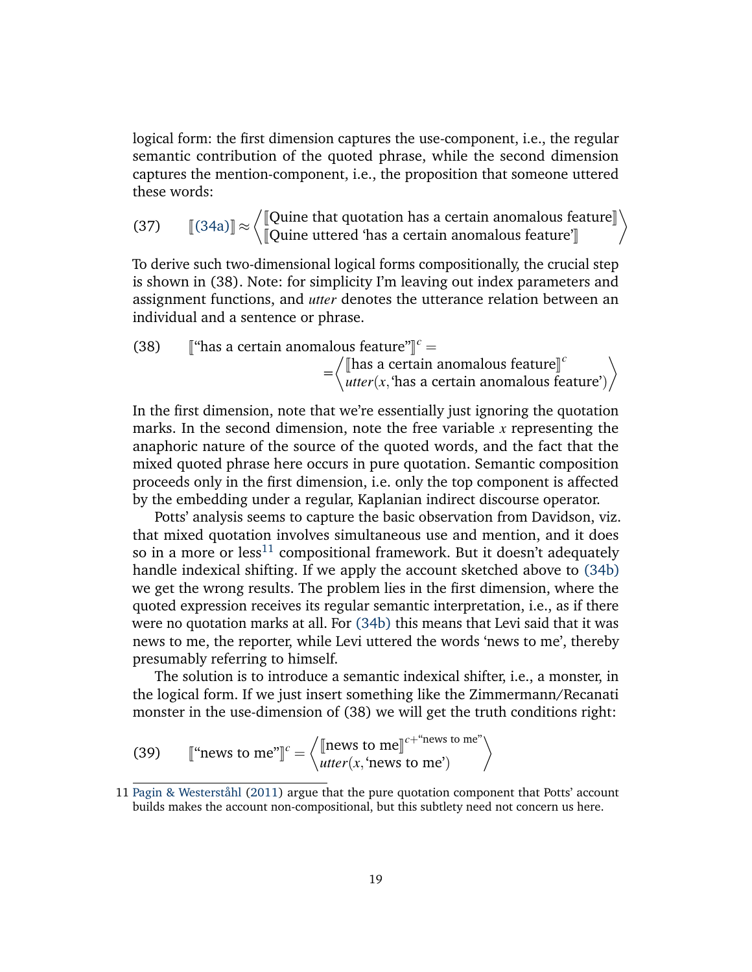logical form: the first dimension captures the use-component, i.e., the regular semantic contribution of the quoted phrase, while the second dimension captures the mention-component, i.e., the proposition that someone uttered these words:

 $(37)$   $[(34a)] \approx$  $[(34a)] \approx$  $[(34a)] \approx$  $\sqrt{\frac{1}{2}}$ Quine that quotation has a certain anomalous feature $\frac{1}{2}$  $\llbracket \text{Quine uttered 'has a certain anomalous feature'} \rrbracket$  $\setminus$ 

To derive such two-dimensional logical forms compositionally, the crucial step is shown in (38). Note: for simplicity I'm leaving out index parameters and assignment functions, and *utter* denotes the utterance relation between an individual and a sentence or phrase.

 $\setminus$ 

(38) 
$$
\begin{aligned}\n\llbracket \text{``has a certain anomalous feature''} \rrbracket^c &= \\
&= \sqrt{\llbracket \text{has a certain anomalous feature} \rrbracket^c} \\
\text{where', 'has a certain anomalous feature')}\n\end{aligned}
$$

In the first dimension, note that we're essentially just ignoring the quotation marks. In the second dimension, note the free variable *x* representing the anaphoric nature of the source of the quoted words, and the fact that the mixed quoted phrase here occurs in pure quotation. Semantic composition proceeds only in the first dimension, i.e. only the top component is affected by the embedding under a regular, Kaplanian indirect discourse operator.

Potts' analysis seems to capture the basic observation from Davidson, viz. that mixed quotation involves simultaneous use and mention, and it does so in a more or  $less<sup>11</sup>$  $less<sup>11</sup>$  $less<sup>11</sup>$  compositional framework. But it doesn't adequately handle indexical shifting. If we apply the account sketched above to [\(34b\)](#page-17-0) we get the wrong results. The problem lies in the first dimension, where the quoted expression receives its regular semantic interpretation, i.e., as if there were no quotation marks at all. For [\(34b\)](#page-17-0) this means that Levi said that it was news to me, the reporter, while Levi uttered the words 'news to me', thereby presumably referring to himself.

The solution is to introduce a semantic indexical shifter, i.e., a monster, in the logical form. If we just insert something like the Zimmermann/Recanati monster in the use-dimension of (38) we will get the truth conditions right:

(39) 
$$
\left[\text{``news to me''}\right]^{c} = \left\langle \text{{}[news to me]}^{c+{}`news \text{ to me''}} \right\rangle
$$

<span id="page-18-0"></span><sup>11</sup> [Pagin & Westerståhl](#page-30-3) [\(2011\)](#page-30-3) argue that the pure quotation component that Potts' account builds makes the account non-compositional, but this subtlety need not concern us here.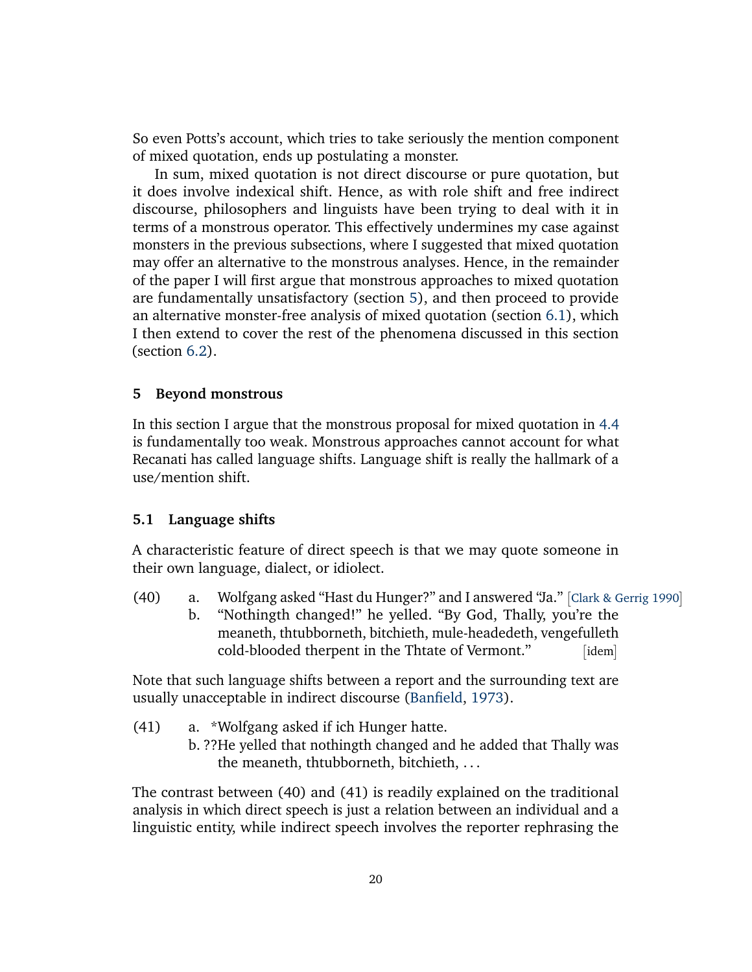So even Potts's account, which tries to take seriously the mention component of mixed quotation, ends up postulating a monster.

In sum, mixed quotation is not direct discourse or pure quotation, but it does involve indexical shift. Hence, as with role shift and free indirect discourse, philosophers and linguists have been trying to deal with it in terms of a monstrous operator. This effectively undermines my case against monsters in the previous subsections, where I suggested that mixed quotation may offer an alternative to the monstrous analyses. Hence, in the remainder of the paper I will first argue that monstrous approaches to mixed quotation are fundamentally unsatisfactory (section [5\)](#page-19-0), and then proceed to provide an alternative monster-free analysis of mixed quotation (section [6.1\)](#page-23-1), which I then extend to cover the rest of the phenomena discussed in this section (section [6.2\)](#page-25-0).

#### <span id="page-19-0"></span>**5 Beyond monstrous**

In this section I argue that the monstrous proposal for mixed quotation in [4.4](#page-16-0) is fundamentally too weak. Monstrous approaches cannot account for what Recanati has called language shifts. Language shift is really the hallmark of a use/mention shift.

#### <span id="page-19-1"></span>**5.1 Language shifts**

A characteristic feature of direct speech is that we may quote someone in their own language, dialect, or idiolect.

(40)  $\alpha$ . Wolfgang asked "Hast du Hunger?" and I answered "Ja." [[Clark & Gerrig](#page-29-8) [1990](#page-29-8)] b. "Nothingth changed!" he yelled. "By God, Thally, you're the meaneth, thtubborneth, bitchieth, mule-headedeth, vengefulleth cold-blooded therpent in the Thtate of Vermont." idem

Note that such language shifts between a report and the surrounding text are usually unacceptable in indirect discourse [\(Banfield,](#page-29-9) [1973\)](#page-29-9).

(41) a. \*Wolfgang asked if ich Hunger hatte. b. ??He yelled that nothingth changed and he added that Thally was

the meaneth, thtubborneth, bitchieth, . . .

The contrast between (40) and (41) is readily explained on the traditional analysis in which direct speech is just a relation between an individual and a linguistic entity, while indirect speech involves the reporter rephrasing the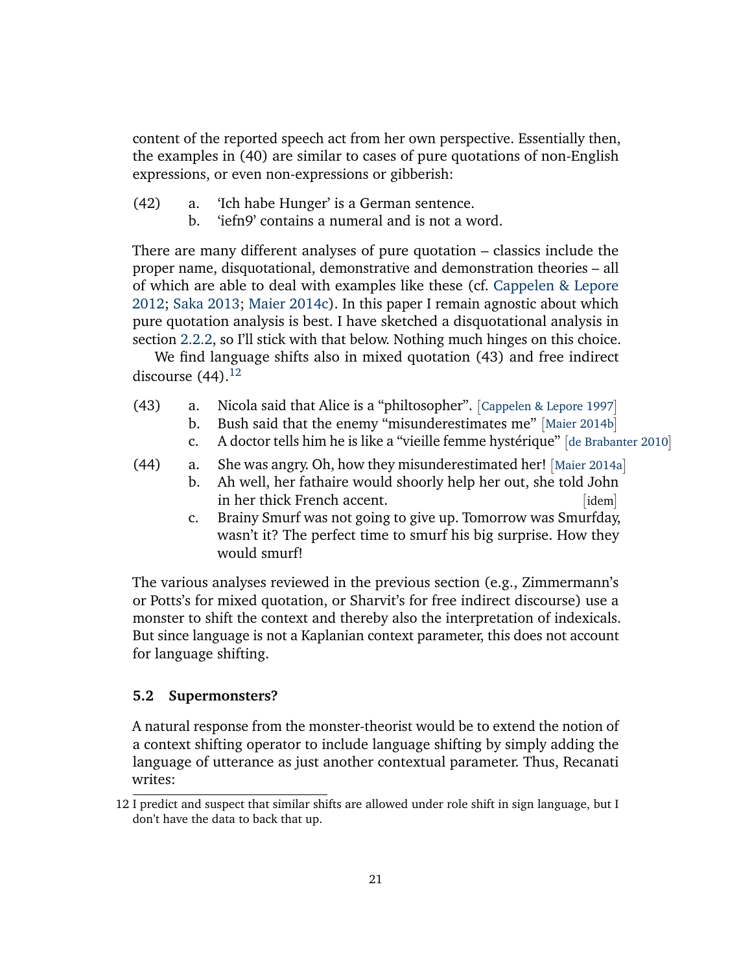content of the reported speech act from her own perspective. Essentially then, the examples in (40) are similar to cases of pure quotations of non-English expressions, or even non-expressions or gibberish:

- (42) a. 'Ich habe Hunger' is a German sentence.
	- b. 'iefn9' contains a numeral and is not a word.

There are many different analyses of pure quotation – classics include the proper name, disquotational, demonstrative and demonstration theories – all of which are able to deal with examples like these (cf. [Cappelen & Lepore](#page-29-0) [2012;](#page-29-0) [Saka](#page-31-1) [2013;](#page-31-1) [Maier](#page-30-2) [2014c\)](#page-30-2). In this paper I remain agnostic about which pure quotation analysis is best. I have sketched a disquotational analysis in section [2.2.2,](#page-5-1) so I'll stick with that below. Nothing much hinges on this choice.

We find language shifts also in mixed quotation (43) and free indirect discourse  $(44)$ .<sup>[12](#page-20-1)</sup>

- <span id="page-20-3"></span><span id="page-20-2"></span> $(43)$  a. Nicola said that Alice is a "philtosopher". [[Cappelen & Lepore](#page-29-10) [1997](#page-29-10)]
	- b. Bush said that the enemy "misunderestimates me"  $[$ [Maier](#page-30-4) [2014b](#page-30-4) $]$
	- c. A doctor tells him he is like a "vieille femme hystérique" [[de Brabanter](#page-29-11) [2010](#page-29-11)]
- <span id="page-20-4"></span> $(44)$  a. She was angry. Oh, how they misunderestimated her! [[Maier](#page-30-10) [2014a](#page-30-10)] b. Ah well, her fathaire would shoorly help her out, she told John in her thick French accent.
	- idem c. Brainy Smurf was not going to give up. Tomorrow was Smurfday, wasn't it? The perfect time to smurf his big surprise. How they would smurf!

The various analyses reviewed in the previous section (e.g., Zimmermann's or Potts's for mixed quotation, or Sharvit's for free indirect discourse) use a monster to shift the context and thereby also the interpretation of indexicals. But since language is not a Kaplanian context parameter, this does not account for language shifting.

#### <span id="page-20-0"></span>**5.2 Supermonsters?**

A natural response from the monster-theorist would be to extend the notion of a context shifting operator to include language shifting by simply adding the language of utterance as just another contextual parameter. Thus, Recanati writes:

<span id="page-20-1"></span><sup>12</sup> I predict and suspect that similar shifts are allowed under role shift in sign language, but I don't have the data to back that up.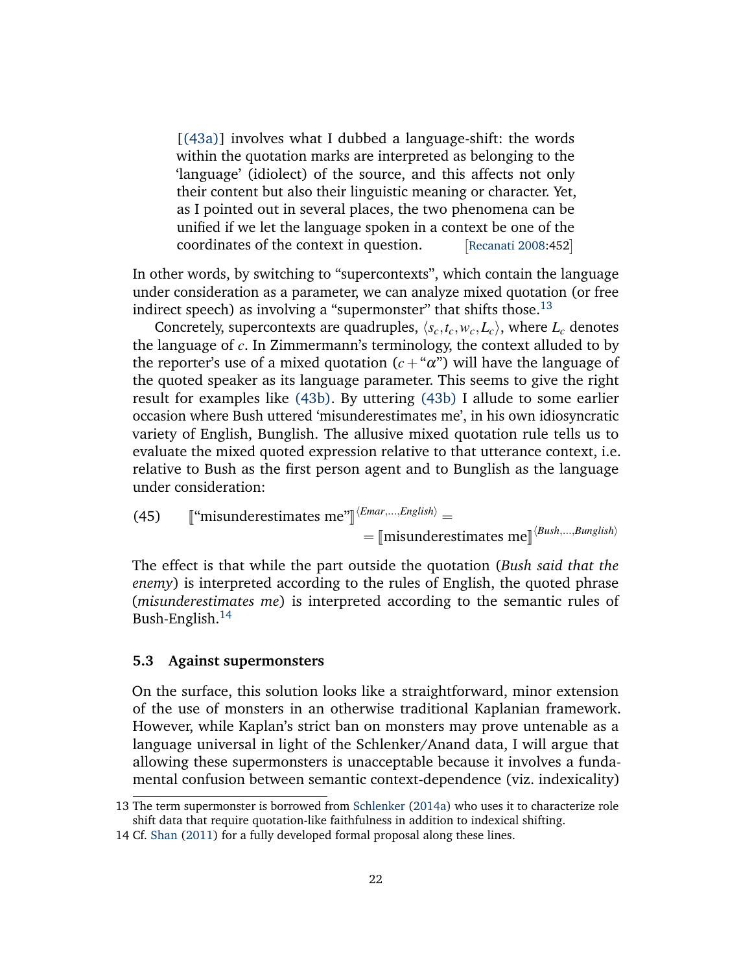[\[\(43a\)\]](#page-20-2) involves what I dubbed a language-shift: the words within the quotation marks are interpreted as belonging to the 'language' (idiolect) of the source, and this affects not only their content but also their linguistic meaning or character. Yet, as I pointed out in several places, the two phenomena can be unified if we let the language spoken in a context be one of the coordinates of the context in question. [Recanati](#page-31-10) [2008:](#page-31-10)452

In other words, by switching to "supercontexts", which contain the language under consideration as a parameter, we can analyze mixed quotation (or free indirect speech) as involving a "supermonster" that shifts those.<sup>[13](#page-21-1)</sup>

Concretely, supercontexts are quadruples,  $\langle s_c, t_c, w_c, L_c \rangle$ , where  $L_c$  denotes the language of *c*. In Zimmermann's terminology, the context alluded to by the reporter's use of a mixed quotation  $(c + \alpha)$  will have the language of the quoted speaker as its language parameter. This seems to give the right result for examples like [\(43b\).](#page-20-3) By uttering [\(43b\)](#page-20-3) I allude to some earlier occasion where Bush uttered 'misunderestimates me', in his own idiosyncratic variety of English, Bunglish. The allusive mixed quotation rule tells us to evaluate the mixed quoted expression relative to that utterance context, i.e. relative to Bush as the first person agent and to Bunglish as the language under consideration:

(45) 
$$
\begin{aligned} \mathbb{I}^{\text{``misunderestimates me''}} \mathbb{I}^{\langle \text{Emar}, \dots, \text{English} \rangle} &= \\ &= \left[ \text{misunderstimates me} \right] \mathbb{I}^{\langle \text{Bush}, \dots, \text{Bunglish} \rangle} \end{aligned}
$$

The effect is that while the part outside the quotation (*Bush said that the enemy*) is interpreted according to the rules of English, the quoted phrase (*misunderestimates me*) is interpreted according to the semantic rules of Bush-English.[14](#page-21-2)

#### <span id="page-21-0"></span>**5.3 Against supermonsters**

On the surface, this solution looks like a straightforward, minor extension of the use of monsters in an otherwise traditional Kaplanian framework. However, while Kaplan's strict ban on monsters may prove untenable as a language universal in light of the Schlenker/Anand data, I will argue that allowing these supermonsters is unacceptable because it involves a fundamental confusion between semantic context-dependence (viz. indexicality)

<span id="page-21-1"></span><sup>13</sup> The term supermonster is borrowed from [Schlenker](#page-31-7) [\(2014a\)](#page-31-7) who uses it to characterize role shift data that require quotation-like faithfulness in addition to indexical shifting.

<span id="page-21-2"></span><sup>14</sup> Cf. [Shan](#page-31-12) [\(2011\)](#page-31-12) for a fully developed formal proposal along these lines.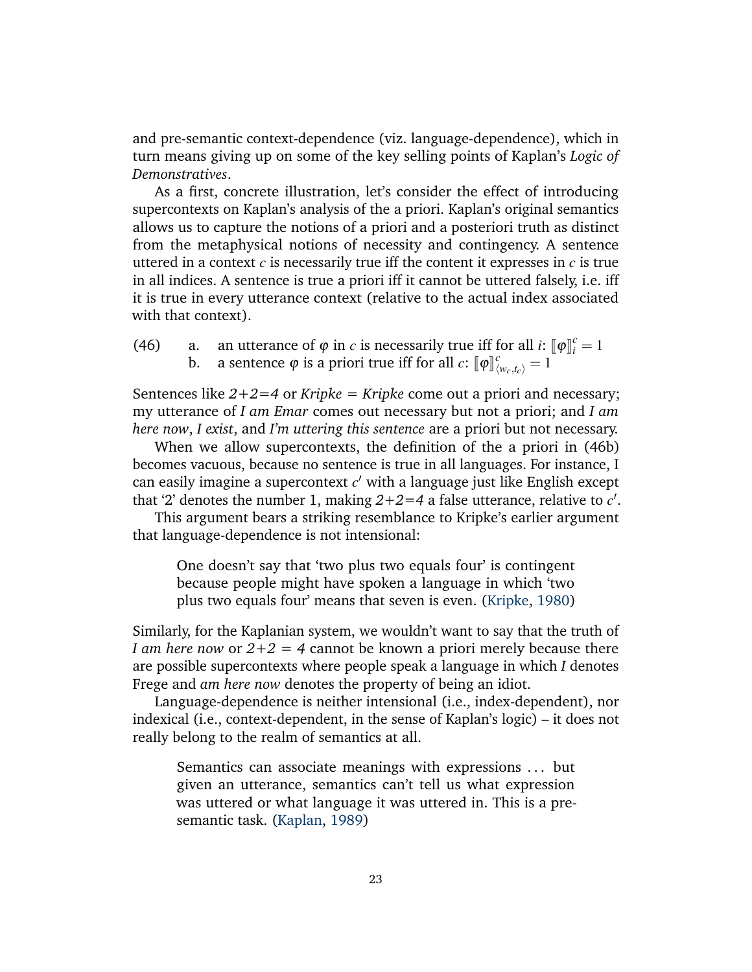and pre-semantic context-dependence (viz. language-dependence), which in turn means giving up on some of the key selling points of Kaplan's *Logic of Demonstratives*.

As a first, concrete illustration, let's consider the effect of introducing supercontexts on Kaplan's analysis of the a priori. Kaplan's original semantics allows us to capture the notions of a priori and a posteriori truth as distinct from the metaphysical notions of necessity and contingency. A sentence uttered in a context  $c$  is necessarily true iff the content it expresses in  $c$  is true in all indices. A sentence is true a priori iff it cannot be uttered falsely, i.e. iff it is true in every utterance context (relative to the actual index associated with that context).

(46) a. an utterance of  $\varphi$  in *c* is necessarily true iff for all *i*:  $[\![\varphi]\!]_i^c = 1$ <br>b. a septence  $\varphi$  is a priori true iff for all  $c: [\![\varphi]\!]_i^c = -1$ b. a sentence  $\varphi$  is a priori true iff for all  $c: [\![\varphi]\!]_{\langle w_c,t_c \rangle}^c = 1$ 

Sentences like *2+2=4* or *Kripke = Kripke* come out a priori and necessary; my utterance of *I am Emar* comes out necessary but not a priori; and *I am here now*, *I exist*, and *I'm uttering this sentence* are a priori but not necessary.

When we allow supercontexts, the definition of the a priori in (46b) becomes vacuous, because no sentence is true in all languages. For instance, I can easily imagine a supercontext *c* <sup>0</sup> with a language just like English except that '2' denotes the number 1, making  $2+2=4$  a false utterance, relative to  $c'$ .

This argument bears a striking resemblance to Kripke's earlier argument that language-dependence is not intensional:

One doesn't say that 'two plus two equals four' is contingent because people might have spoken a language in which 'two plus two equals four' means that seven is even. [\(Kripke,](#page-30-1) [1980\)](#page-30-1)

Similarly, for the Kaplanian system, we wouldn't want to say that the truth of *I am here now* or *2+2 = 4* cannot be known a priori merely because there are possible supercontexts where people speak a language in which *I* denotes Frege and *am here now* denotes the property of being an idiot.

Language-dependence is neither intensional (i.e., index-dependent), nor indexical (i.e., context-dependent, in the sense of Kaplan's logic) – it does not really belong to the realm of semantics at all.

Semantics can associate meanings with expressions . . . but given an utterance, semantics can't tell us what expression was uttered or what language it was uttered in. This is a presemantic task. [\(Kaplan,](#page-30-0) [1989\)](#page-30-0)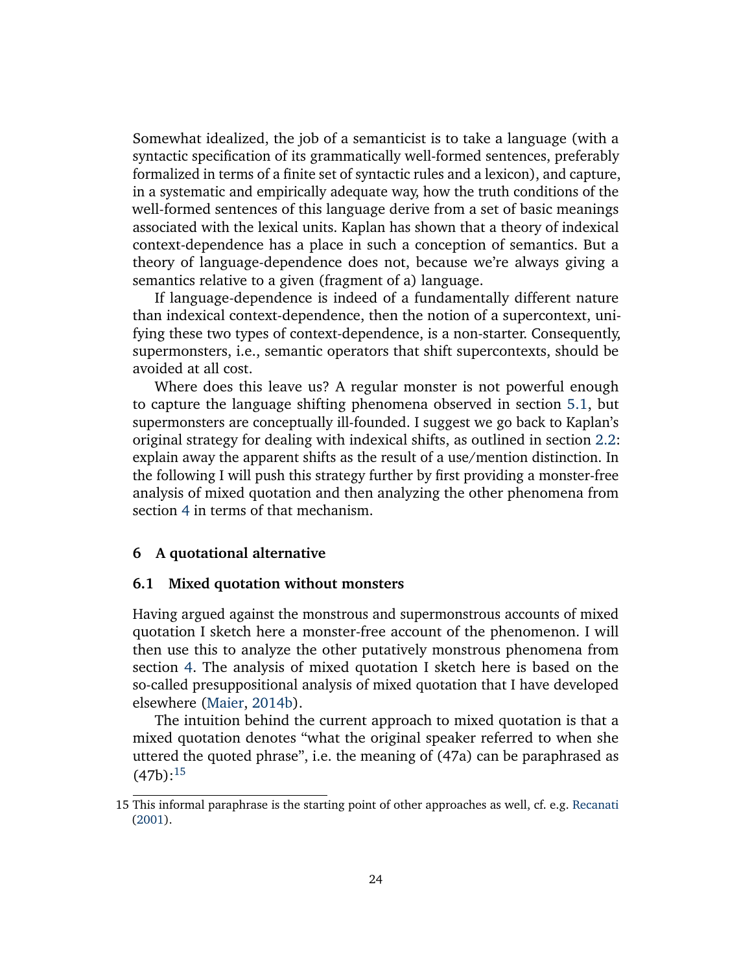Somewhat idealized, the job of a semanticist is to take a language (with a syntactic specification of its grammatically well-formed sentences, preferably formalized in terms of a finite set of syntactic rules and a lexicon), and capture, in a systematic and empirically adequate way, how the truth conditions of the well-formed sentences of this language derive from a set of basic meanings associated with the lexical units. Kaplan has shown that a theory of indexical context-dependence has a place in such a conception of semantics. But a theory of language-dependence does not, because we're always giving a semantics relative to a given (fragment of a) language.

If language-dependence is indeed of a fundamentally different nature than indexical context-dependence, then the notion of a supercontext, unifying these two types of context-dependence, is a non-starter. Consequently, supermonsters, i.e., semantic operators that shift supercontexts, should be avoided at all cost.

Where does this leave us? A regular monster is not powerful enough to capture the language shifting phenomena observed in section [5.1,](#page-19-1) but supermonsters are conceptually ill-founded. I suggest we go back to Kaplan's original strategy for dealing with indexical shifts, as outlined in section [2.2:](#page-4-0) explain away the apparent shifts as the result of a use/mention distinction. In the following I will push this strategy further by first providing a monster-free analysis of mixed quotation and then analyzing the other phenomena from section [4](#page-13-0) in terms of that mechanism.

#### <span id="page-23-0"></span>**6 A quotational alternative**

#### <span id="page-23-1"></span>**6.1 Mixed quotation without monsters**

Having argued against the monstrous and supermonstrous accounts of mixed quotation I sketch here a monster-free account of the phenomenon. I will then use this to analyze the other putatively monstrous phenomena from section [4.](#page-13-0) The analysis of mixed quotation I sketch here is based on the so-called presuppositional analysis of mixed quotation that I have developed elsewhere [\(Maier,](#page-30-4) [2014b\)](#page-30-4).

The intuition behind the current approach to mixed quotation is that a mixed quotation denotes "what the original speaker referred to when she uttered the quoted phrase", i.e. the meaning of (47a) can be paraphrased as  $(47b):^{15}$  $(47b):^{15}$  $(47b):^{15}$ 

<span id="page-23-2"></span><sup>15</sup> This informal paraphrase is the starting point of other approaches as well, cf. e.g. [Recanati](#page-31-5) [\(2001\)](#page-31-5).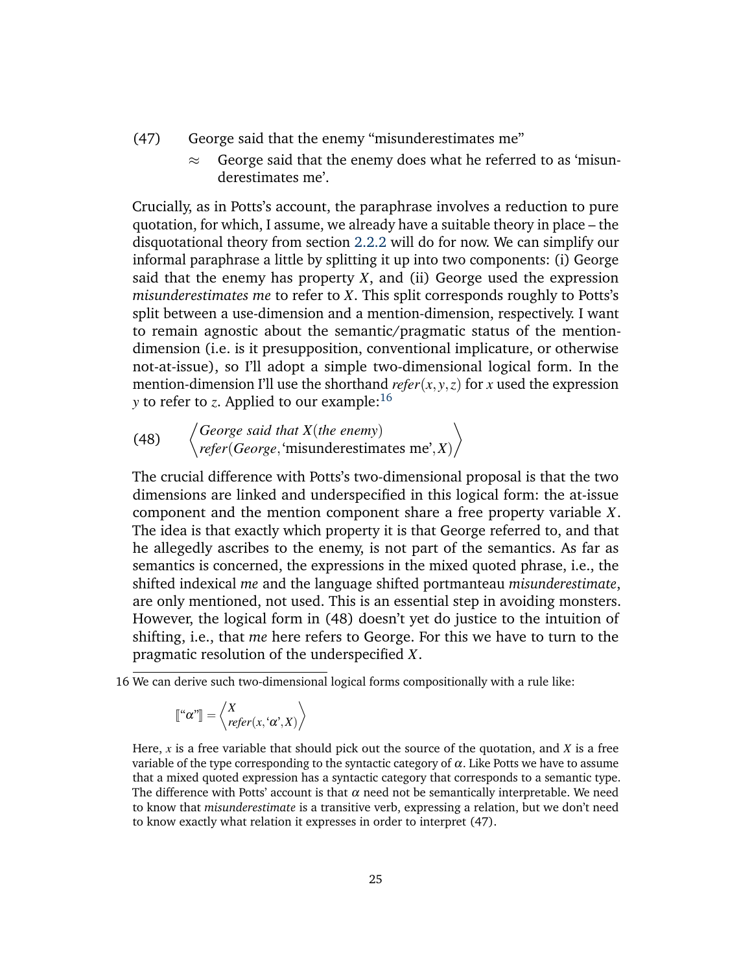- (47) George said that the enemy "misunderestimates me"
	- $\approx$  George said that the enemy does what he referred to as 'misunderestimates me'.

Crucially, as in Potts's account, the paraphrase involves a reduction to pure quotation, for which, I assume, we already have a suitable theory in place – the disquotational theory from section [2.2.2](#page-5-1) will do for now. We can simplify our informal paraphrase a little by splitting it up into two components: (i) George said that the enemy has property  $X$ , and (ii) George used the expression *misunderestimates me* to refer to *X*. This split corresponds roughly to Potts's split between a use-dimension and a mention-dimension, respectively. I want to remain agnostic about the semantic/pragmatic status of the mentiondimension (i.e. is it presupposition, conventional implicature, or otherwise not-at-issue), so I'll adopt a simple two-dimensional logical form. In the mention-dimension I'll use the shorthand  $refer(x, y, z)$  for *x* used the expression *y* to refer to *z*. Applied to our example:  $16$ 

(48) *George said that X*(*the enemy*) *refer*(*George*,'misunderestimates me',*X*)  $\setminus$ 

The crucial difference with Potts's two-dimensional proposal is that the two dimensions are linked and underspecified in this logical form: the at-issue component and the mention component share a free property variable *X*. The idea is that exactly which property it is that George referred to, and that he allegedly ascribes to the enemy, is not part of the semantics. As far as semantics is concerned, the expressions in the mixed quoted phrase, i.e., the shifted indexical *me* and the language shifted portmanteau *misunderestimate*, are only mentioned, not used. This is an essential step in avoiding monsters. However, the logical form in (48) doesn't yet do justice to the intuition of shifting, i.e., that *me* here refers to George. For this we have to turn to the pragmatic resolution of the underspecified *X*.

$$
\llbracket \text{``$\alpha$''}\rrbracket = \left\langle \begin{matrix} X \\ \text{refer}(x, \text{``$\alpha$}', X) \end{matrix} \right\rangle
$$

Here, *x* is a free variable that should pick out the source of the quotation, and *X* is a free variable of the type corresponding to the syntactic category of  $\alpha$ . Like Potts we have to assume that a mixed quoted expression has a syntactic category that corresponds to a semantic type. The difference with Potts' account is that  $\alpha$  need not be semantically interpretable. We need to know that *misunderestimate* is a transitive verb, expressing a relation, but we don't need to know exactly what relation it expresses in order to interpret (47).

<span id="page-24-0"></span><sup>16</sup> We can derive such two-dimensional logical forms compositionally with a rule like: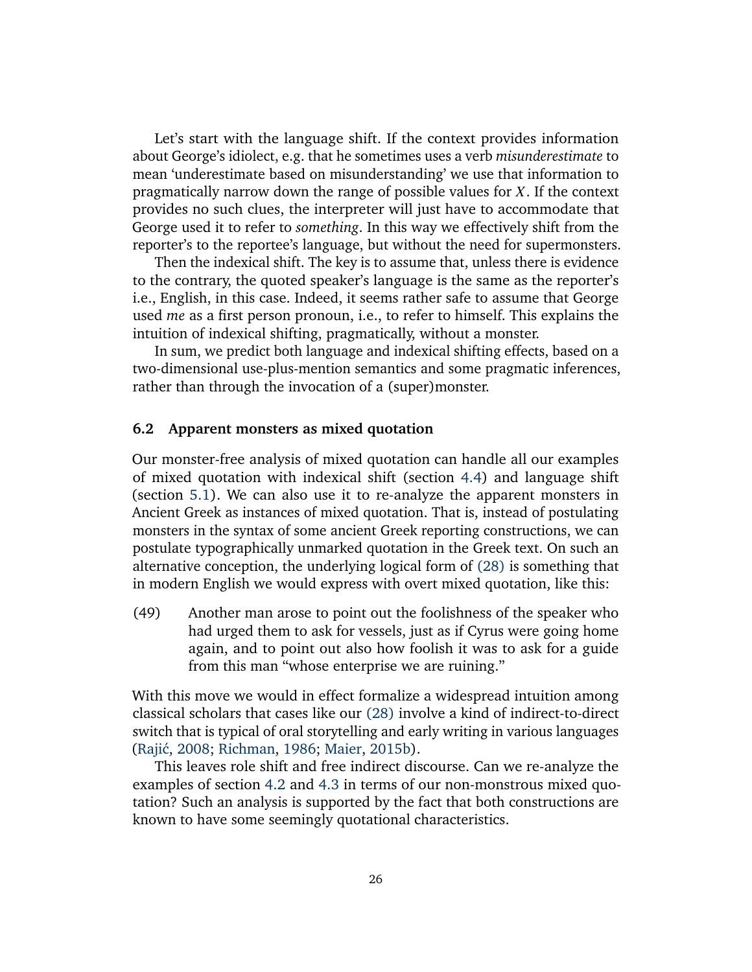Let's start with the language shift. If the context provides information about George's idiolect, e.g. that he sometimes uses a verb *misunderestimate* to mean 'underestimate based on misunderstanding' we use that information to pragmatically narrow down the range of possible values for *X*. If the context provides no such clues, the interpreter will just have to accommodate that George used it to refer to *something*. In this way we effectively shift from the reporter's to the reportee's language, but without the need for supermonsters.

Then the indexical shift. The key is to assume that, unless there is evidence to the contrary, the quoted speaker's language is the same as the reporter's i.e., English, in this case. Indeed, it seems rather safe to assume that George used *me* as a first person pronoun, i.e., to refer to himself. This explains the intuition of indexical shifting, pragmatically, without a monster.

In sum, we predict both language and indexical shifting effects, based on a two-dimensional use-plus-mention semantics and some pragmatic inferences, rather than through the invocation of a (super)monster.

#### <span id="page-25-0"></span>**6.2 Apparent monsters as mixed quotation**

Our monster-free analysis of mixed quotation can handle all our examples of mixed quotation with indexical shift (section [4.4\)](#page-16-0) and language shift (section [5.1\)](#page-19-1). We can also use it to re-analyze the apparent monsters in Ancient Greek as instances of mixed quotation. That is, instead of postulating monsters in the syntax of some ancient Greek reporting constructions, we can postulate typographically unmarked quotation in the Greek text. On such an alternative conception, the underlying logical form of [\(28\)](#page-13-3) is something that in modern English we would express with overt mixed quotation, like this:

(49) Another man arose to point out the foolishness of the speaker who had urged them to ask for vessels, just as if Cyrus were going home again, and to point out also how foolish it was to ask for a guide from this man "whose enterprise we are ruining."

With this move we would in effect formalize a widespread intuition among classical scholars that cases like our [\(28\)](#page-13-3) involve a kind of indirect-to-direct switch that is typical of oral storytelling and early writing in various languages (Rajić, [2008;](#page-30-11) [Richman,](#page-31-13) [1986;](#page-31-13) [Maier,](#page-30-12) [2015b\)](#page-30-12).

This leaves role shift and free indirect discourse. Can we re-analyze the examples of section [4.2](#page-14-0) and [4.3](#page-15-0) in terms of our non-monstrous mixed quotation? Such an analysis is supported by the fact that both constructions are known to have some seemingly quotational characteristics.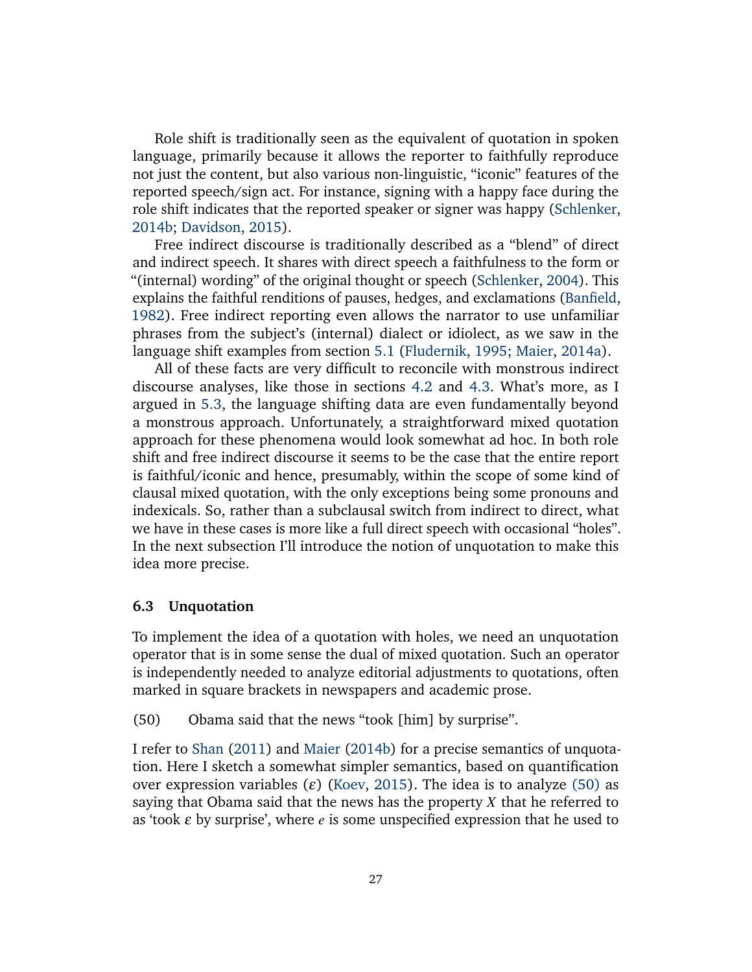Role shift is traditionally seen as the equivalent of quotation in spoken language, primarily because it allows the reporter to faithfully reproduce not just the content, but also various non-linguistic, "iconic" features of the reported speech/sign act. For instance, signing with a happy face during the role shift indicates that the reported speaker or signer was happy [\(Schlenker,](#page-31-14) [2014b;](#page-31-14) [Davidson,](#page-29-5) [2015\)](#page-29-5).

Free indirect discourse is traditionally described as a "blend" of direct and indirect speech. It shares with direct speech a faithfulness to the form or "(internal) wording" of the original thought or speech [\(Schlenker,](#page-31-8) [2004\)](#page-31-8). This explains the faithful renditions of pauses, hedges, and exclamations [\(Banfield,](#page-29-6) [1982\)](#page-29-6). Free indirect reporting even allows the narrator to use unfamiliar phrases from the subject's (internal) dialect or idiolect, as we saw in the language shift examples from section [5.1](#page-19-1) [\(Fludernik,](#page-30-8) [1995;](#page-30-8) [Maier,](#page-30-10) [2014a\)](#page-30-10).

All of these facts are very difficult to reconcile with monstrous indirect discourse analyses, like those in sections [4.2](#page-14-0) and [4.3.](#page-15-0) What's more, as I argued in [5.3,](#page-21-0) the language shifting data are even fundamentally beyond a monstrous approach. Unfortunately, a straightforward mixed quotation approach for these phenomena would look somewhat ad hoc. In both role shift and free indirect discourse it seems to be the case that the entire report is faithful/iconic and hence, presumably, within the scope of some kind of clausal mixed quotation, with the only exceptions being some pronouns and indexicals. So, rather than a subclausal switch from indirect to direct, what we have in these cases is more like a full direct speech with occasional "holes". In the next subsection I'll introduce the notion of unquotation to make this idea more precise.

#### <span id="page-26-0"></span>**6.3 Unquotation**

To implement the idea of a quotation with holes, we need an unquotation operator that is in some sense the dual of mixed quotation. Such an operator is independently needed to analyze editorial adjustments to quotations, often marked in square brackets in newspapers and academic prose.

<span id="page-26-1"></span>(50) Obama said that the news "took [him] by surprise".

I refer to [Shan](#page-31-12) [\(2011\)](#page-31-12) and [Maier](#page-30-4) [\(2014b\)](#page-30-4) for a precise semantics of unquotation. Here I sketch a somewhat simpler semantics, based on quantification over expression variables (ε) [\(Koev,](#page-30-13) [2015\)](#page-30-13). The idea is to analyze [\(50\)](#page-26-1) as saying that Obama said that the news has the property *X* that he referred to as 'took ε by surprise', where *e* is some unspecified expression that he used to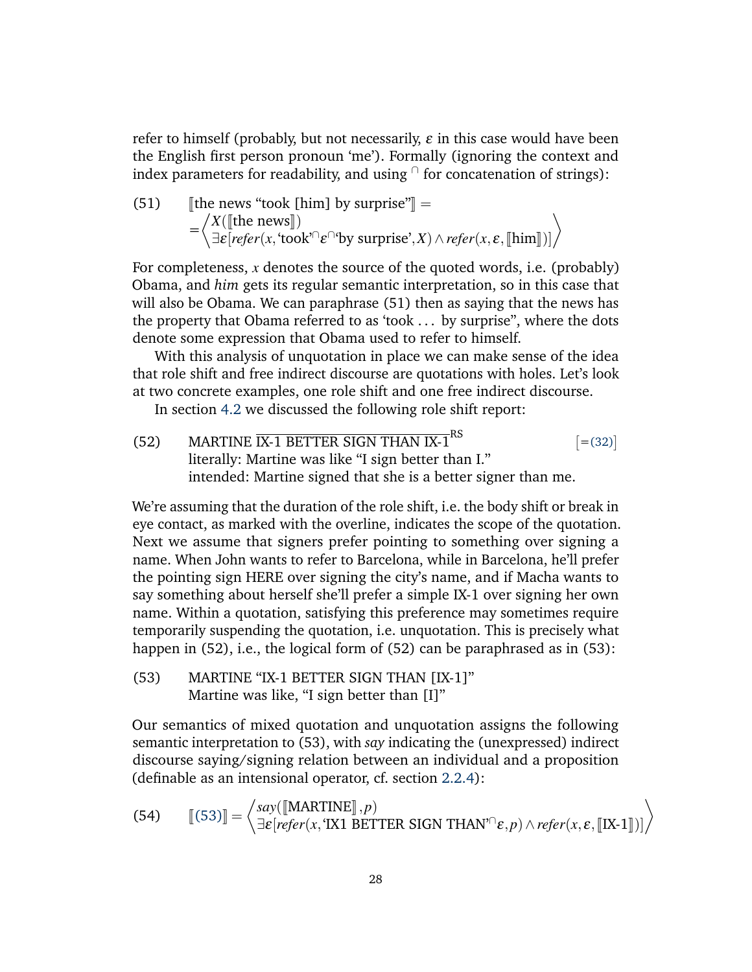refer to himself (probably, but not necessarily,  $\varepsilon$  in this case would have been the English first person pronoun 'me'). Formally (ignoring the context and index parameters for readability, and using  $\cap$  for concatenation of strings):

(51) [the news "took [him] by surprise"] =  
\n
$$
= \left\langle \begin{array}{ll} X([\text{the news}]) \\ \exists \varepsilon[\text{refer}(x, 'took' \cap \varepsilon \cap 'by surprise', X) \land \text{refer}(x, \varepsilon, [\![him]\!])] \end{array} \right\rangle
$$

For completeness, *x* denotes the source of the quoted words, i.e. (probably) Obama, and *him* gets its regular semantic interpretation, so in this case that will also be Obama. We can paraphrase (51) then as saying that the news has the property that Obama referred to as 'took . . . by surprise", where the dots denote some expression that Obama used to refer to himself.

With this analysis of unquotation in place we can make sense of the idea that role shift and free indirect discourse are quotations with holes. Let's look at two concrete examples, one role shift and one free indirect discourse.

In section [4.2](#page-14-0) we discussed the following role shift report:

(52) MARTINE  $\overline{IX-1}$  BETTER SIGN THAN  $\overline{IX-1}^{RS}$  $= (32)$ literally: Martine was like "I sign better than I." intended: Martine signed that she is a better signer than me.

We're assuming that the duration of the role shift, i.e. the body shift or break in eye contact, as marked with the overline, indicates the scope of the quotation. Next we assume that signers prefer pointing to something over signing a name. When John wants to refer to Barcelona, while in Barcelona, he'll prefer the pointing sign HERE over signing the city's name, and if Macha wants to say something about herself she'll prefer a simple IX-1 over signing her own name. Within a quotation, satisfying this preference may sometimes require temporarily suspending the quotation, i.e. unquotation. This is precisely what happen in (52), i.e., the logical form of (52) can be paraphrased as in (53):

<span id="page-27-0"></span>(53) MARTINE "IX-1 BETTER SIGN THAN [IX-1]" Martine was like, "I sign better than [I]"

Our semantics of mixed quotation and unquotation assigns the following semantic interpretation to (53), with *say* indicating the (unexpressed) indirect discourse saying/signing relation between an individual and a proposition (definable as an intensional operator, cf. section [2.2.4\)](#page-8-0):

(54) 
$$
\left[ (53) \right] = \left\langle \sup_{\exists \epsilon [\text{refer}(x, 'IX1 \text{ BETTER SIGN THAN} \cap \epsilon, p) \land \text{refer}(x, \epsilon, [\![IX-1]\!])]} \right\rangle
$$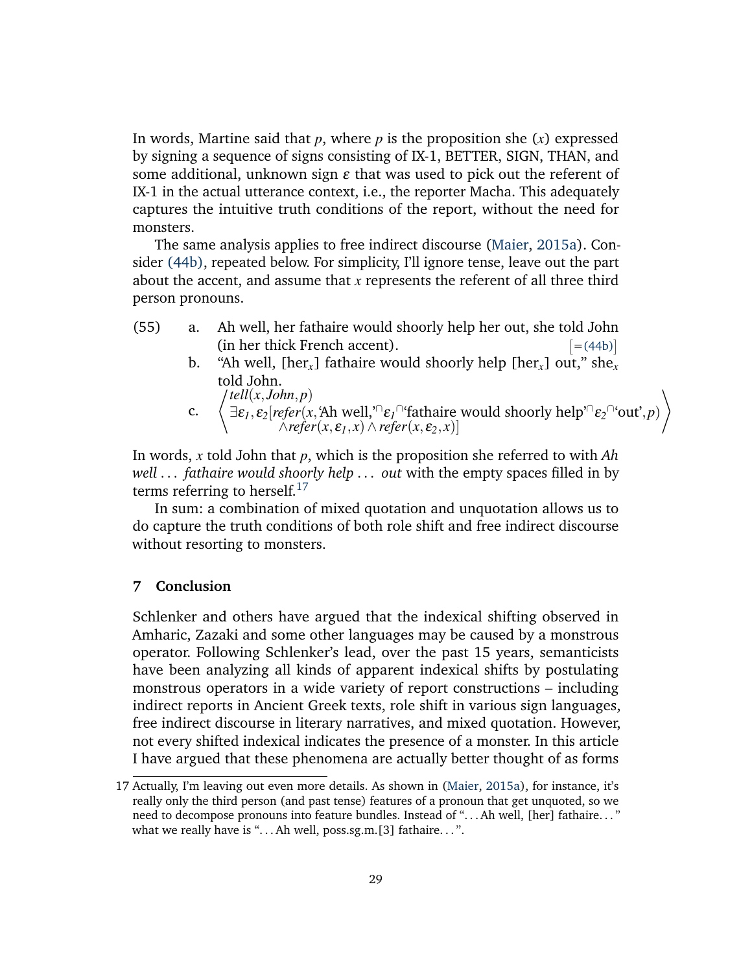In words, Martine said that  $p$ , where  $p$  is the proposition she  $(x)$  expressed by signing a sequence of signs consisting of IX-1, BETTER, SIGN, THAN, and some additional, unknown sign  $\varepsilon$  that was used to pick out the referent of IX-1 in the actual utterance context, i.e., the reporter Macha. This adequately captures the intuitive truth conditions of the report, without the need for monsters.

The same analysis applies to free indirect discourse [\(Maier,](#page-30-14) [2015a\)](#page-30-14). Consider [\(44b\),](#page-20-4) repeated below. For simplicity, I'll ignore tense, leave out the part about the accent, and assume that *x* represents the referent of all three third person pronouns.

- (55) a. Ah well, her fathaire would shoorly help her out, she told John (in her thick French accent).  $= (44b)$ 
	- b. "Ah well, [her*x*] fathaire would shoorly help [her*x*] out," she*<sup>x</sup>* told John.
	- c.  $\left\langle \begin{array}{c} tell(x, John, p) \\ \exists \varepsilon_1, \varepsilon_2 [refer(x)] \end{array} \right\rangle$ ∃ε*1*, ε*2*[*refer*(*x*,'Ah well,'∩ε*<sup>1</sup>* <sup>∩</sup>'fathaire would shoorly help'∩ε*<sup>2</sup>* <sup>∩</sup>'out',*p*)  $\rho(r_{\mathcal{F}}(x, \text{A}\text{h well.})^{\cap} \varepsilon_{I}^{\cap}$ 'fathaire would shoorly help' $\cap \varepsilon_{2}^{\cap}$ 'out',p)  $\bigg\backslash \text{refer}(x, \varepsilon_{I}, x) \land \text{refer}(x, \varepsilon_{2}, x)]$

In words, *x* told John that *p*, which is the proposition she referred to with *Ah well . . . fathaire would shoorly help . . . out* with the empty spaces filled in by terms referring to herself.<sup>[17](#page-28-1)</sup>

In sum: a combination of mixed quotation and unquotation allows us to do capture the truth conditions of both role shift and free indirect discourse without resorting to monsters.

#### <span id="page-28-0"></span>**7 Conclusion**

Schlenker and others have argued that the indexical shifting observed in Amharic, Zazaki and some other languages may be caused by a monstrous operator. Following Schlenker's lead, over the past 15 years, semanticists have been analyzing all kinds of apparent indexical shifts by postulating monstrous operators in a wide variety of report constructions – including indirect reports in Ancient Greek texts, role shift in various sign languages, free indirect discourse in literary narratives, and mixed quotation. However, not every shifted indexical indicates the presence of a monster. In this article I have argued that these phenomena are actually better thought of as forms

<span id="page-28-1"></span><sup>17</sup> Actually, I'm leaving out even more details. As shown in [\(Maier,](#page-30-14) [2015a\)](#page-30-14), for instance, it's really only the third person (and past tense) features of a pronoun that get unquoted, so we need to decompose pronouns into feature bundles. Instead of ". . . Ah well, [her] fathaire. . . " what we really have is "...Ah well, poss.sg.m.[3] fathaire...".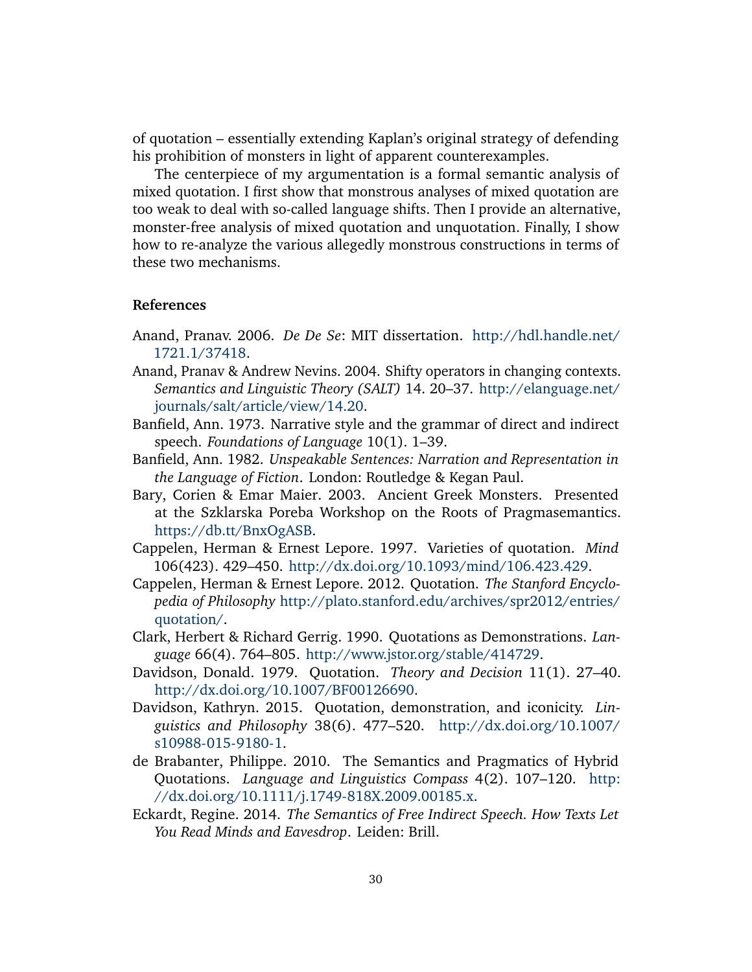of quotation – essentially extending Kaplan's original strategy of defending his prohibition of monsters in light of apparent counterexamples.

The centerpiece of my argumentation is a formal semantic analysis of mixed quotation. I first show that monstrous analyses of mixed quotation are too weak to deal with so-called language shifts. Then I provide an alternative, monster-free analysis of mixed quotation and unquotation. Finally, I show how to re-analyze the various allegedly monstrous constructions in terms of these two mechanisms.

#### **References**

- <span id="page-29-2"></span>Anand, Pranav. 2006. *De De Se*: MIT dissertation. [http://hdl.handle.net/](http://hdl.handle.net/1721.1/37418) [1721.1/37418.](http://hdl.handle.net/1721.1/37418)
- <span id="page-29-1"></span>Anand, Pranav & Andrew Nevins. 2004. Shifty operators in changing contexts. *Semantics and Linguistic Theory (SALT)* 14. 20–37. [http://elanguage.net/](http://elanguage.net/journals/salt/article/view/14.20) [journals/salt/article/view/14.20.](http://elanguage.net/journals/salt/article/view/14.20)
- <span id="page-29-9"></span>Banfield, Ann. 1973. Narrative style and the grammar of direct and indirect speech. *Foundations of Language* 10(1). 1–39.
- <span id="page-29-6"></span>Banfield, Ann. 1982. *Unspeakable Sentences: Narration and Representation in the Language of Fiction*. London: Routledge & Kegan Paul.
- <span id="page-29-4"></span>Bary, Corien & Emar Maier. 2003. Ancient Greek Monsters. Presented at the Szklarska Poreba Workshop on the Roots of Pragmasemantics. [https://db.tt/BnxOgASB.](https://db.tt/BnxOgASB)
- <span id="page-29-10"></span>Cappelen, Herman & Ernest Lepore. 1997. Varieties of quotation. *Mind* 106(423). 429–450. [http://dx.doi.org/10.1093/mind/106.423.429.](http://dx.doi.org/10.1093/mind/106.423.429)
- <span id="page-29-0"></span>Cappelen, Herman & Ernest Lepore. 2012. Quotation. *The Stanford Encyclopedia of Philosophy* [http://plato.stanford.edu/archives/spr2012/entries/](http://plato.stanford.edu/archives/spr2012/entries/quotation/) [quotation/.](http://plato.stanford.edu/archives/spr2012/entries/quotation/)
- <span id="page-29-8"></span>Clark, Herbert & Richard Gerrig. 1990. Quotations as Demonstrations. *Language* 66(4). 764–805. [http://www.jstor.org/stable/414729.](http://www.jstor.org/stable/414729)
- <span id="page-29-3"></span>Davidson, Donald. 1979. Quotation. *Theory and Decision* 11(1). 27–40. [http://dx.doi.org/10.1007/BF00126690.](http://dx.doi.org/10.1007/BF00126690)
- <span id="page-29-5"></span>Davidson, Kathryn. 2015. Quotation, demonstration, and iconicity. *Linguistics and Philosophy* 38(6). 477–520. [http://dx.doi.org/10.1007/](http://dx.doi.org/10.1007/s10988-015-9180-1) [s10988-015-9180-1.](http://dx.doi.org/10.1007/s10988-015-9180-1)
- <span id="page-29-11"></span>de Brabanter, Philippe. 2010. The Semantics and Pragmatics of Hybrid Quotations. *Language and Linguistics Compass* 4(2). 107–120. [http:](http://dx.doi.org/10.1111/j.1749-818X.2009.00185.x) [//dx.doi.org/10.1111/j.1749-818X.2009.00185.x.](http://dx.doi.org/10.1111/j.1749-818X.2009.00185.x)
- <span id="page-29-7"></span>Eckardt, Regine. 2014. *The Semantics of Free Indirect Speech. How Texts Let You Read Minds and Eavesdrop*. Leiden: Brill.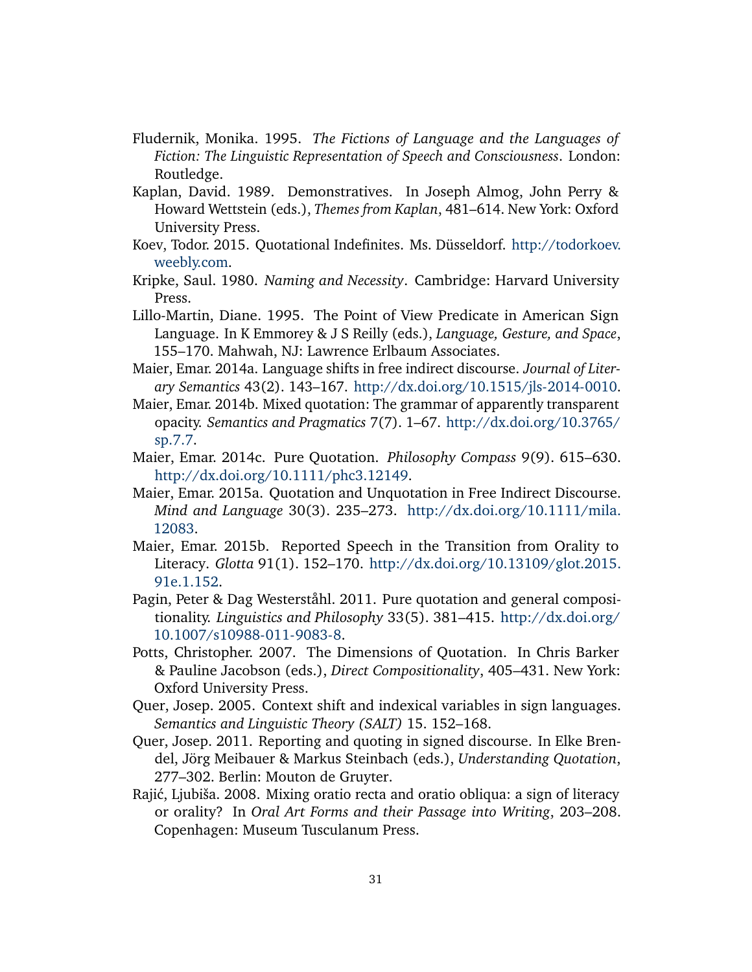- <span id="page-30-8"></span>Fludernik, Monika. 1995. *The Fictions of Language and the Languages of Fiction: The Linguistic Representation of Speech and Consciousness*. London: Routledge.
- <span id="page-30-0"></span>Kaplan, David. 1989. Demonstratives. In Joseph Almog, John Perry & Howard Wettstein (eds.), *Themes from Kaplan*, 481–614. New York: Oxford University Press.
- <span id="page-30-13"></span>Koev, Todor. 2015. Quotational Indefinites. Ms. Düsseldorf. [http://todorkoev.](http://todorkoev.weebly.com) [weebly.com.](http://todorkoev.weebly.com)
- <span id="page-30-1"></span>Kripke, Saul. 1980. *Naming and Necessity*. Cambridge: Harvard University Press.
- <span id="page-30-5"></span>Lillo-Martin, Diane. 1995. The Point of View Predicate in American Sign Language. In K Emmorey & J S Reilly (eds.), *Language, Gesture, and Space*, 155–170. Mahwah, NJ: Lawrence Erlbaum Associates.
- <span id="page-30-10"></span>Maier, Emar. 2014a. Language shifts in free indirect discourse. *Journal of Literary Semantics* 43(2). 143–167. [http://dx.doi.org/10.1515/jls-2014-0010.](http://dx.doi.org/10.1515/jls-2014-0010)
- <span id="page-30-4"></span>Maier, Emar. 2014b. Mixed quotation: The grammar of apparently transparent opacity. *Semantics and Pragmatics* 7(7). 1–67. [http://dx.doi.org/10.3765/](http://dx.doi.org/10.3765/sp.7.7) [sp.7.7.](http://dx.doi.org/10.3765/sp.7.7)
- <span id="page-30-2"></span>Maier, Emar. 2014c. Pure Quotation. *Philosophy Compass* 9(9). 615–630. [http://dx.doi.org/10.1111/phc3.12149.](http://dx.doi.org/10.1111/phc3.12149)
- <span id="page-30-14"></span>Maier, Emar. 2015a. Quotation and Unquotation in Free Indirect Discourse. *Mind and Language* 30(3). 235–273. [http://dx.doi.org/10.1111/mila.](http://dx.doi.org/10.1111/mila.12083) [12083.](http://dx.doi.org/10.1111/mila.12083)
- <span id="page-30-12"></span>Maier, Emar. 2015b. Reported Speech in the Transition from Orality to Literacy. *Glotta* 91(1). 152–170. [http://dx.doi.org/10.13109/glot.2015.](http://dx.doi.org/10.13109/glot.2015.91e.1.152) [91e.1.152.](http://dx.doi.org/10.13109/glot.2015.91e.1.152)
- <span id="page-30-3"></span>Pagin, Peter & Dag Westerståhl. 2011. Pure quotation and general compositionality. *Linguistics and Philosophy* 33(5). 381–415. [http://dx.doi.org/](http://dx.doi.org/10.1007/s10988-011-9083-8) [10.1007/s10988-011-9083-8.](http://dx.doi.org/10.1007/s10988-011-9083-8)
- <span id="page-30-9"></span>Potts, Christopher. 2007. The Dimensions of Quotation. In Chris Barker & Pauline Jacobson (eds.), *Direct Compositionality*, 405–431. New York: Oxford University Press.
- <span id="page-30-6"></span>Quer, Josep. 2005. Context shift and indexical variables in sign languages. *Semantics and Linguistic Theory (SALT)* 15. 152–168.
- <span id="page-30-7"></span>Quer, Josep. 2011. Reporting and quoting in signed discourse. In Elke Brendel, Jörg Meibauer & Markus Steinbach (eds.), *Understanding Quotation*, 277–302. Berlin: Mouton de Gruyter.
- <span id="page-30-11"></span>Rajić, Ljubiša. 2008. Mixing oratio recta and oratio obliqua: a sign of literacy or orality? In *Oral Art Forms and their Passage into Writing*, 203–208. Copenhagen: Museum Tusculanum Press.